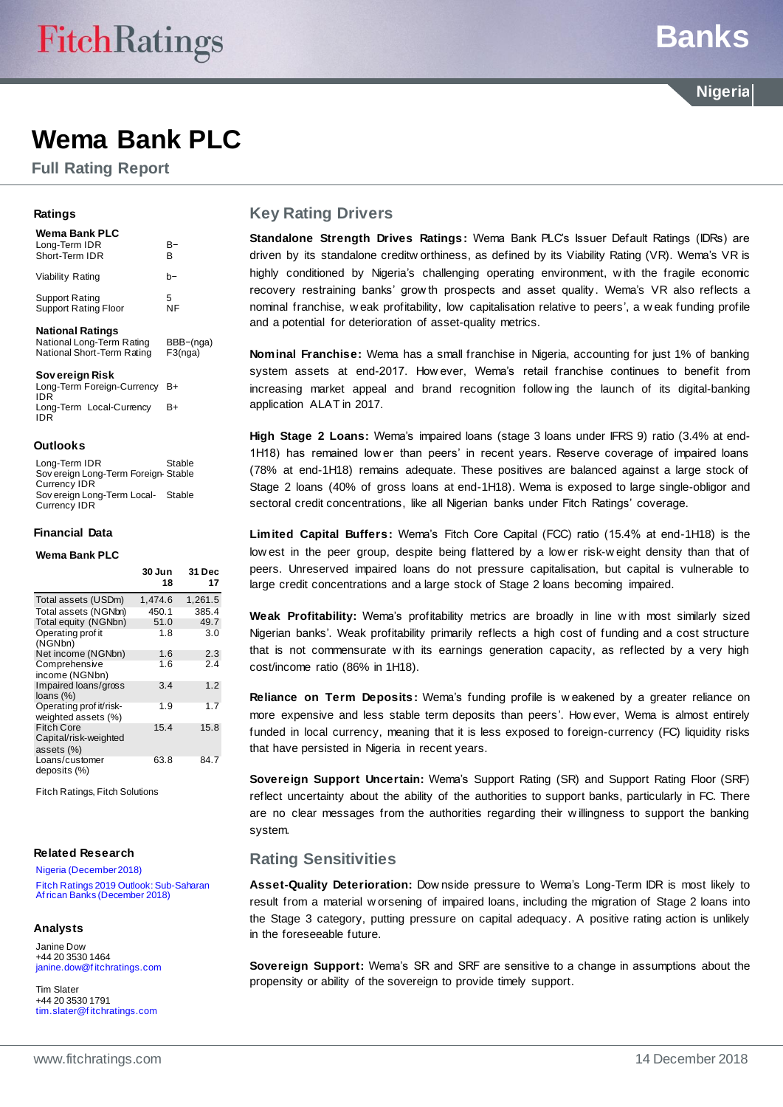**Full Rating Report**

#### **Ratings**

| Wema Bank PLC<br>Long-Term IDR<br>Short-Term IDR     | B-<br>в   |
|------------------------------------------------------|-----------|
| Viability Rating                                     | h-        |
| Support Rating<br><b>Support Rating Floor</b>        | 5<br>ΝF   |
| <b>National Ratings</b><br>National Long-Term Rating | BBB-(nga) |

National Short-Term Rating F3(nga)

**Sov ereign Risk** Long-Term Foreign-Currency B+ IDR Long-Term Local-Currency IDR  $B+$ 

#### **Outlooks**

Long-Term IDR Stable Sov ereign Long-Term Foreign-Stable Currency IDR Sov ereign Long-Term Local-Stable Currency IDR

#### **Financial Data**

#### **Wema Bank PLC**

|                                                          | 30 Jun<br>18 | 31 Dec<br>17 |
|----------------------------------------------------------|--------------|--------------|
| Total assets (USDm)                                      | 1,474.6      | 1,261.5      |
| Total assets (NGNbn)                                     | 450.1        | 385.4        |
| Total equity (NGNbn)                                     | 51.0         | 49.7         |
| Operating prof it<br>(NGNbn)                             | 1.8          | 3.0          |
| Net income (NGNbn)                                       | 1.6          | 2.3          |
| Comprehensive<br>income (NGNbn)                          | 1.6          | 2.4          |
| Impaired loans/gross<br>loans $(\%)$                     | 3.4          | 1.2          |
| Operating prof it/risk-<br>weighted assets (%)           | 1.9          | 1.7          |
| <b>Fitch Core</b><br>Capital/risk-weighted<br>assets (%) | 15.4         | 15.8         |
| Loans/customer<br>deposits (%)                           | 63.8         | 84.7         |

Fitch Ratings, Fitch Solutions

#### **Related Research**

[Nigeria \(December 2018\)](https://www.fitchratings.com/site/re/10053145) Fitch Ratin[gs 2019 Outlook: Sub-Saharan](https://www.fitchratings.com/site/re/10054387)  [Af rican Banks \(December 2018\)](https://www.fitchratings.com/site/re/10054387)

#### **Analysts**

Janine Dow +44 20 3530 1464 [janine.dow@f itchratings.com](mailto:janine.dow@fitchratings.com)

Tim Slater +44 20 3530 1791 [tim.slater@f itchratings.com](mailto:tim.slater@fitchratings.com)

#### **Key Rating Drivers**

**Standalone Strength Drives Ratings:** Wema Bank PLC's Issuer Default Ratings (IDRs) are driven by its standalone creditw orthiness, as defined by its Viability Rating (VR). Wema's VR is highly conditioned by Nigeria's challenging operating environment, w ith the fragile economic recovery restraining banks' grow th prospects and asset quality. Wema's VR also reflects a nominal franchise, w eak profitability, low capitalisation relative to peers', a w eak funding profile and a potential for deterioration of asset-quality metrics.

**Nominal Franchise:** Wema has a small franchise in Nigeria, accounting for just 1% of banking system assets at end-2017. How ever, Wema's retail franchise continues to benefit from increasing market appeal and brand recognition follow ing the launch of its digital-banking application ALAT in 2017.

**High Stage 2 Loans:** Wema's impaired loans (stage 3 loans under IFRS 9) ratio (3.4% at end-1H18) has remained low er than peers' in recent years. Reserve coverage of impaired loans (78% at end-1H18) remains adequate. These positives are balanced against a large stock of Stage 2 loans (40% of gross loans at end-1H18). Wema is exposed to large single-obligor and sectoral credit concentrations, like all Nigerian banks under Fitch Ratings' coverage.

**Limited Capital Buffers:** Wema's Fitch Core Capital (FCC) ratio (15.4% at end-1H18) is the low est in the peer group, despite being flattered by a low er risk-w eight density than that of peers. Unreserved impaired loans do not pressure capitalisation, but capital is vulnerable to large credit concentrations and a large stock of Stage 2 loans becoming impaired.

**Weak Profitability:** Wema's profitability metrics are broadly in line w ith most similarly sized Nigerian banks'. Weak profitability primarily reflects a high cost of funding and a cost structure that is not commensurate w ith its earnings generation capacity, as reflected by a very high cost/income ratio (86% in 1H18).

**Reliance on Term Deposits:** Wema's funding profile is w eakened by a greater reliance on more expensive and less stable term deposits than peers'. How ever, Wema is almost entirely funded in local currency, meaning that it is less exposed to foreign-currency (FC) liquidity risks that have persisted in Nigeria in recent years.

**Sovereign Support Uncertain:** Wema's Support Rating (SR) and Support Rating Floor (SRF) reflect uncertainty about the ability of the authorities to support banks, particularly in FC. There are no clear messages from the authorities regarding their w illingness to support the banking system.

## **Rating Sensitivities**

**Asset-Quality Deterioration:** Dow nside pressure to Wema's Long-Term IDR is most likely to result from a material w orsening of impaired loans, including the migration of Stage 2 loans into the Stage 3 category, putting pressure on capital adequacy. A positive rating action is unlikely in the foreseeable future.

**Sovereign Support:** Wema's SR and SRF are sensitive to a change in assumptions about the propensity or ability of the sovereign to provide timely support.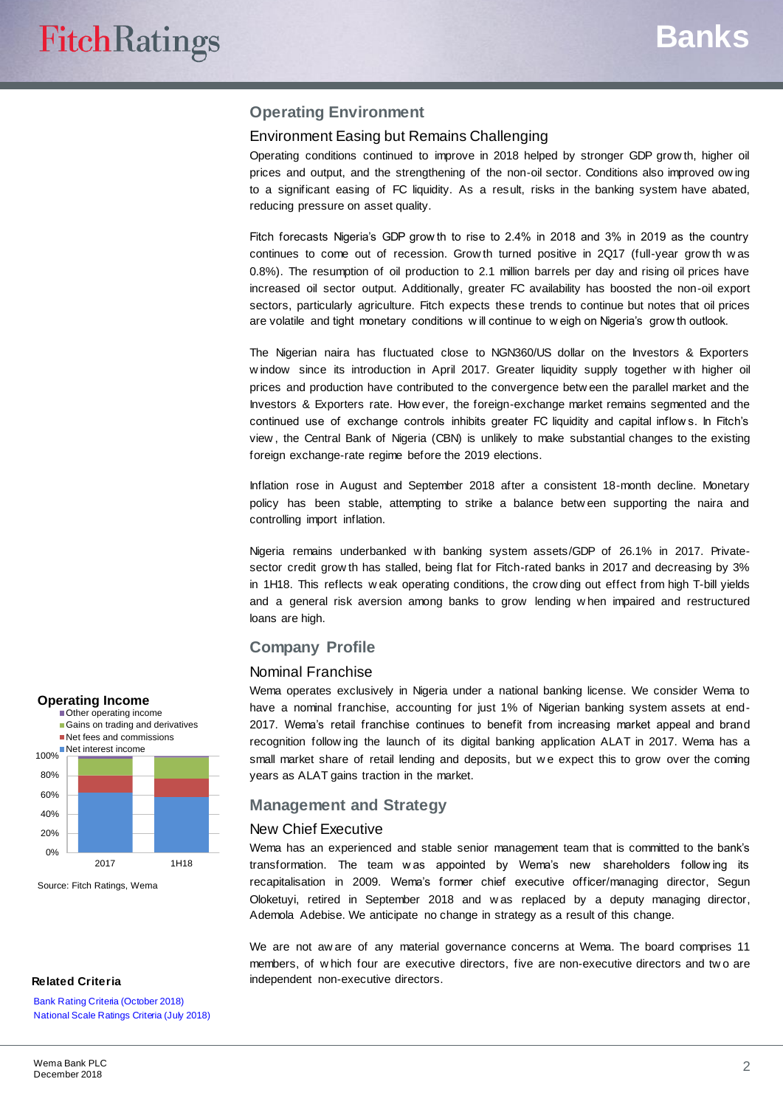## **Operating Environment**

#### Environment Easing but Remains Challenging

Operating conditions continued to improve in 2018 helped by stronger GDP grow th, higher oil prices and output, and the strengthening of the non-oil sector. Conditions also improved ow ing to a significant easing of FC liquidity. As a result, risks in the banking system have abated, reducing pressure on asset quality.

Fitch forecasts Nigeria's GDP grow th to rise to 2.4% in 2018 and 3% in 2019 as the country continues to come out of recession. Grow th turned positive in 2Q17 (full-year grow th w as 0.8%). The resumption of oil production to 2.1 million barrels per day and rising oil prices have increased oil sector output. Additionally, greater FC availability has boosted the non-oil export sectors, particularly agriculture. Fitch expects these trends to continue but notes that oil prices are volatile and tight monetary conditions w ill continue to w eigh on Nigeria's grow th outlook.

The Nigerian naira has fluctuated close to NGN360/US dollar on the Investors & Exporters w indow since its introduction in April 2017. Greater liquidity supply together w ith higher oil prices and production have contributed to the convergence betw een the parallel market and the Investors & Exporters rate. How ever, the foreign-exchange market remains segmented and the continued use of exchange controls inhibits greater FC liquidity and capital inflow s. In Fitch's view , the Central Bank of Nigeria (CBN) is unlikely to make substantial changes to the existing foreign exchange-rate regime before the 2019 elections.

Inflation rose in August and September 2018 after a consistent 18-month decline. Monetary policy has been stable, attempting to strike a balance betw een supporting the naira and controlling import inflation.

Nigeria remains underbanked w ith banking system assets/GDP of 26.1% in 2017. Privatesector credit grow th has stalled, being flat for Fitch-rated banks in 2017 and decreasing by 3% in 1H18. This reflects w eak operating conditions, the crow ding out effect from high T-bill yields and a general risk aversion among banks to grow lending w hen impaired and restructured loans are high.

#### **Company Profile**

#### Nominal Franchise

Wema operates exclusively in Nigeria under a national banking license. We consider Wema to have a nominal franchise, accounting for just 1% of Nigerian banking system assets at end-2017. Wema's retail franchise continues to benefit from increasing market appeal and brand recognition follow ing the launch of its digital banking application ALAT in 2017. Wema has a small market share of retail lending and deposits, but we expect this to grow over the coming years as ALAT gains traction in the market.

### **Management and Strategy**

#### New Chief Executive

Wema has an experienced and stable senior management team that is committed to the bank's transformation. The team w as appointed by Wema's new shareholders follow ing its recapitalisation in 2009. Wema's former chief executive officer/managing director, Segun Oloketuyi, retired in September 2018 and w as replaced by a deputy managing director, Ademola Adebise. We anticipate no change in strategy as a result of this change.

We are not aw are of any material governance concerns at Wema. The board comprises 11 members, of w hich four are executive directors, five are non-executive directors and tw o are independent non-executive directors.



Source: Fitch Ratings, Wema

#### **Related Criteria**

**[Bank Rating Criteria \(October 2018\)](https://www.fitchratings.com/site/re/10044408)** [National Scale Ratings Criteria \(July 2018\)](https://www.fitchratings.com/site/re/10038626)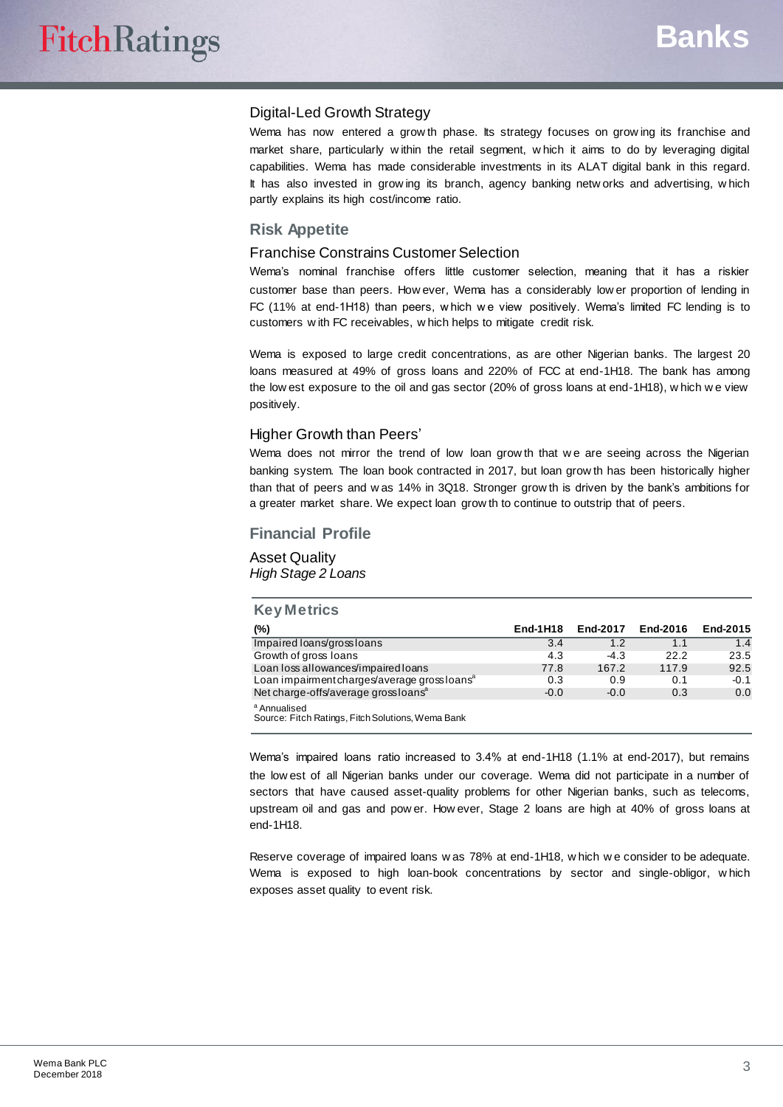#### Digital-Led Growth Strategy

Wema has now entered a grow th phase. Its strategy focuses on grow ing its franchise and market share, particularly w ithin the retail segment, w hich it aims to do by leveraging digital capabilities. Wema has made considerable investments in its ALAT digital bank in this regard. It has also invested in grow ing its branch, agency banking netw orks and advertising, w hich partly explains its high cost/income ratio.

#### **Risk Appetite**

#### Franchise Constrains Customer Selection

Wema's nominal franchise offers little customer selection, meaning that it has a riskier customer base than peers. How ever, Wema has a considerably low er proportion of lending in FC (11% at end-1H18) than peers, w hich we view positively. Wema's limited FC lending is to customers w ith FC receivables, w hich helps to mitigate credit risk.

Wema is exposed to large credit concentrations, as are other Nigerian banks. The largest 20 loans measured at 49% of gross loans and 220% of FCC at end-1H18. The bank has among the low est exposure to the oil and gas sector (20% of gross loans at end-1H18), w hich w e view positively.

#### Higher Growth than Peers'

Wema does not mirror the trend of low loan grow th that we are seeing across the Nigerian banking system. The loan book contracted in 2017, but loan grow th has been historically higher than that of peers and w as 14% in 3Q18. Stronger grow th is driven by the bank's ambitions for a greater market share. We expect loan grow th to continue to outstrip that of peers.

#### **Financial Profile**

Asset Quality *High Stage 2 Loans*

| <b>Key Metrics</b>                                                           |          |          |          |          |
|------------------------------------------------------------------------------|----------|----------|----------|----------|
| (%)                                                                          | End-1H18 | End-2017 | End-2016 | End-2015 |
| Impaired loans/grossloans                                                    | 3.4      | 1.2      | 1.1      | 1.4      |
| Growth of gross loans                                                        | 4.3      | $-4.3$   | 22.2     | 23.5     |
| Loan loss allowances/impaired loans                                          | 77.8     | 167.2    | 117.9    | 92.5     |
| Loan impairment charges/average grossloans <sup>a</sup>                      | 0.3      | 0.9      | 0.1      | $-0.1$   |
| Net charge-offs/average grossloans <sup>a</sup>                              | $-0.0$   | $-0.0$   | 0.3      | 0.0      |
| <sup>a</sup> Annualised<br>Source: Fitch Ratings, Fitch Solutions, Wema Bank |          |          |          |          |

Wema's impaired loans ratio increased to 3.4% at end-1H18 (1.1% at end-2017), but remains the low est of all Nigerian banks under our coverage. Wema did not participate in a number of sectors that have caused asset-quality problems for other Nigerian banks, such as telecoms, upstream oil and gas and pow er. How ever, Stage 2 loans are high at 40% of gross loans at end-1H18.

Reserve coverage of impaired loans w as 78% at end-1H18, w hich w e consider to be adequate. Wema is exposed to high loan-book concentrations by sector and single-obligor, w hich exposes asset quality to event risk.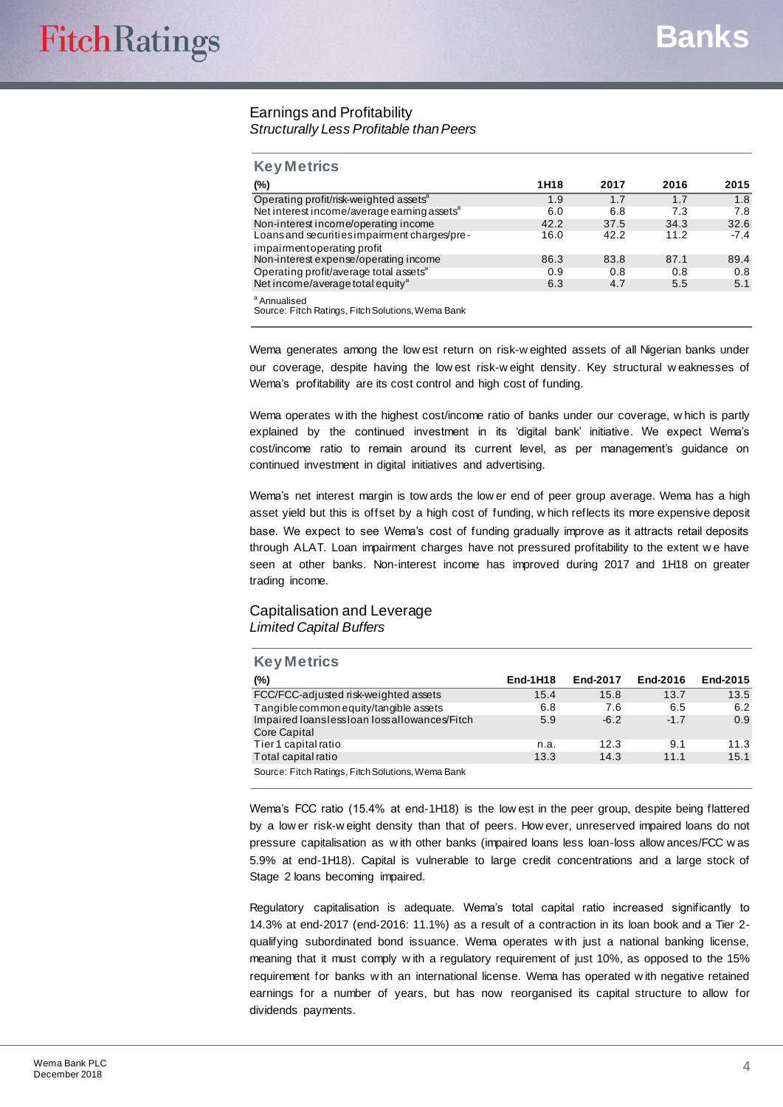#### Earnings and Profitability *Structurally Less Profitable than Peers*

| <b>Key Metrics</b>                                                           |      |      |      |        |
|------------------------------------------------------------------------------|------|------|------|--------|
| $(\%)$                                                                       | 1H18 | 2017 | 2016 | 2015   |
| Operating profit/risk-weighted assets <sup>a</sup>                           | 1.9  | 1.7  | 1.7  | 1.8    |
| Net interest income/average earning assets <sup>a</sup>                      | 6.0  | 6.8  | 7.3  | 7.8    |
| Non-interest income/operating income                                         | 42.2 | 37.5 | 34.3 | 32.6   |
| Loans and securities impairment charges/pre-<br>impairment operating profit  | 16.0 | 42.2 | 11.2 | $-7.4$ |
| Non-interest expense/operating income                                        | 86.3 | 83.8 | 87.1 | 89.4   |
| Operating profit/average total assets <sup>a</sup>                           | 0.9  | 0.8  | 0.8  | 0.8    |
| Net income/average total equity <sup>ª</sup>                                 | 6.3  | 4.7  | 5.5  | 5.1    |
| <sup>a</sup> Annualised<br>Source: Fitch Ratings, Fitch Solutions, Wema Bank |      |      |      |        |

Wema generates among the low est return on risk-w eighted assets of all Nigerian banks under our coverage, despite having the low est risk-w eight density. Key structural w eaknesses of Wema's profitability are its cost control and high cost of funding.

Wema operates w ith the highest cost/income ratio of banks under our coverage, w hich is partly explained by the continued investment in its 'digital bank' initiative. We expect Wema's cost/income ratio to remain around its current level, as per management's guidance on continued investment in digital initiatives and advertising.

Wema's net interest margin is tow ards the low er end of peer group average. Wema has a high asset yield but this is offset by a high cost of funding, w hich reflects its more expensive deposit base. We expect to see Wema's cost of funding gradually improve as it attracts retail deposits through ALAT. Loan impairment charges have not pressured profitability to the extent w e have seen at other banks. Non-interest income has improved during 2017 and 1H18 on greater trading income.

#### Capitalisation and Leverage *Limited Capital Buffers*

| <b>Key Metrics</b>                                          |          |          |          |          |
|-------------------------------------------------------------|----------|----------|----------|----------|
| $(\%)$                                                      | End-1H18 | End-2017 | End-2016 | End-2015 |
| FCC/FCC-adjusted risk-weighted assets                       | 15.4     | 15.8     | 13.7     | 13.5     |
| Tangible common equity/tangible assets                      | 6.8      | 7.6      | 6.5      | 6.2      |
| Impaired loanslessloan lossallowances/Fitch<br>Core Capital | 5.9      | $-6.2$   | $-1.7$   | 0.9      |
| Tier 1 capital ratio                                        | n.a.     | 12.3     | 9.1      | 11.3     |
| Total capital ratio                                         | 13.3     | 14.3     | 11.1     | 15.1     |
| Source: Fitch Ratings, Fitch Solutions, Wema Bank           |          |          |          |          |

Wema's FCC ratio (15.4% at end-1H18) is the low est in the peer group, despite being flattered by a low er risk-w eight density than that of peers. How ever, unreserved impaired loans do not pressure capitalisation as w ith other banks (impaired loans less loan-loss allow ances/FCC w as 5.9% at end-1H18). Capital is vulnerable to large credit concentrations and a large stock of Stage 2 loans becoming impaired.

Regulatory capitalisation is adequate. Wema's total capital ratio increased significantly to 14.3% at end-2017 (end-2016: 11.1%) as a result of a contraction in its loan book and a Tier 2 qualifying subordinated bond issuance. Wema operates w ith just a national banking license, meaning that it must comply w ith a regulatory requirement of just 10%, as opposed to the 15% requirement for banks w ith an international license. Wema has operated w ith negative retained earnings for a number of years, but has now reorganised its capital structure to allow for dividends payments.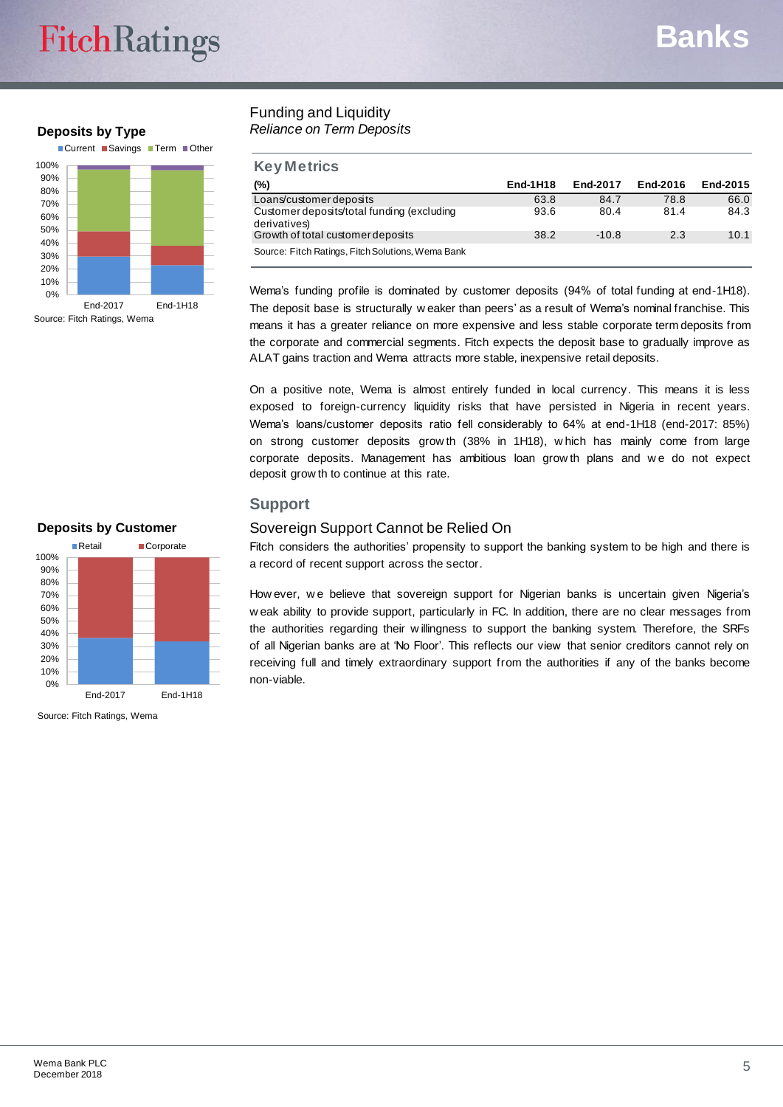# **FitchRatings**

# **Deposits by Type**



## Funding and Liquidity *Reliance on Term Deposits*

| <b>Key Metrics</b>                                         |                 |          |          |          |
|------------------------------------------------------------|-----------------|----------|----------|----------|
| (%)                                                        | <b>End-1H18</b> | End-2017 | End-2016 | End-2015 |
| Loans/customer deposits                                    | 63.8            | 84.7     | 78.8     | 66.0     |
| Customer deposits/total funding (excluding<br>derivatives) | 93.6            | 80.4     | 81.4     | 84.3     |
| Growth of total customer deposits                          | 38.2            | $-10.8$  | 2.3      | 10.1     |
| Source: Fitch Ratings, Fitch Solutions, Wema Bank          |                 |          |          |          |

Wema's funding profile is dominated by customer deposits (94% of total funding at end-1H18). The deposit base is structurally w eaker than peers' as a result of Wema's nominal franchise. This means it has a greater reliance on more expensive and less stable corporate term deposits from the corporate and commercial segments. Fitch expects the deposit base to gradually improve as ALAT gains traction and Wema attracts more stable, inexpensive retail deposits.

On a positive note, Wema is almost entirely funded in local currency. This means it is less exposed to foreign-currency liquidity risks that have persisted in Nigeria in recent years. Wema's loans/customer deposits ratio fell considerably to 64% at end-1H18 (end-2017: 85%) on strong customer deposits grow th (38% in 1H18), w hich has mainly come from large corporate deposits. Management has ambitious loan grow th plans and w e do not expect deposit grow th to continue at this rate.

# **Support**

# Sovereign Support Cannot be Relied On

Fitch considers the authorities' propensity to support the banking system to be high and there is a record of recent support across the sector.

How ever, we believe that sovereign support for Nigerian banks is uncertain given Nigeria's w eak ability to provide support, particularly in FC. In addition, there are no clear messages from the authorities regarding their w illingness to support the banking system. Therefore, the SRFs of all Nigerian banks are at 'No Floor'. This reflects our view that senior creditors cannot rely on receiving full and timely extraordinary support from the authorities if any of the banks become non-viable.





Source: Fitch Ratings, Wema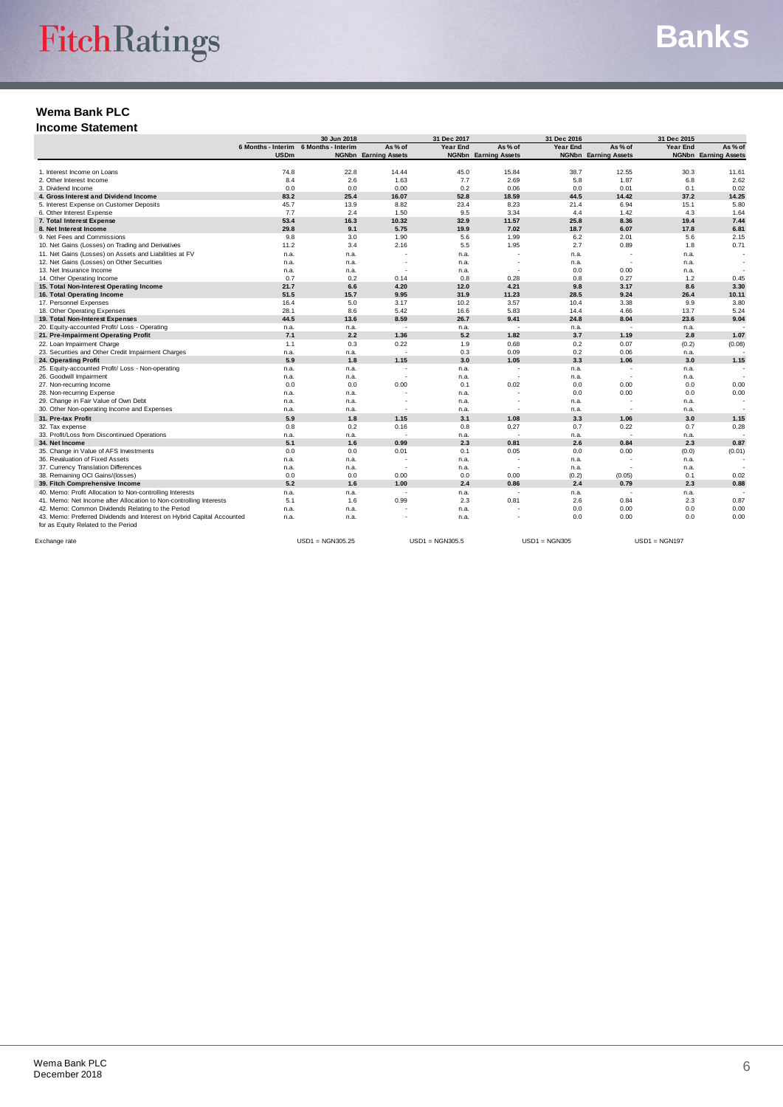**Income Statement**

|                                                                        | 30 Jun 2018 |                                       |                             | 31 Dec 2017 |                             | 31 Dec 2016 |                             | 31 Dec 2015 |                             |
|------------------------------------------------------------------------|-------------|---------------------------------------|-----------------------------|-------------|-----------------------------|-------------|-----------------------------|-------------|-----------------------------|
|                                                                        |             | 6 Months - Interim 6 Months - Interim | As % of                     | Year End    | As % of                     | Year End    | As % of                     | Year End    | As % of                     |
|                                                                        | <b>USDm</b> |                                       | <b>NGNbn</b> Earning Assets |             | <b>NGNbn</b> Earning Assets |             | <b>NGNbn</b> Earning Assets |             | <b>NGNbn</b> Earning Assets |
| 1. Interest Income on Loans                                            | 74.8        | 22.8                                  | 14.44                       | 45.0        | 15.84                       | 38.7        | 12.55                       | 30.3        | 11.61                       |
| 2. Other Interest Income                                               | 8.4         | 2.6                                   | 1.63                        | 7.7         | 2.69                        | 5.8         | 1.87                        | 6.8         | 2.62                        |
| 3. Dividend Income                                                     | 0.0         | 0.0                                   | 0.00                        | 0.2         | 0.06                        | 0.0         | 0.01                        | 0.1         | 0.02                        |
| 4. Gross Interest and Dividend Income                                  | 83.2        | 25.4                                  | 16.07                       | 52.8        | 18.59                       | 44.5        | 14.42                       | 37.2        | 14.25                       |
| 5. Interest Expense on Customer Deposits                               | 45.7        | 13.9                                  | 8.82                        | 23.4        | 8.23                        | 21.4        | 6.94                        | 15.1        | 5.80                        |
| 6. Other Interest Expense                                              | 7.7         | 2.4                                   | 1.50                        | 9.5         | 3.34                        | 4.4         | 1.42                        | 4.3         | 1.64                        |
| 7. Total Interest Expense                                              | 53.4        | 16.3                                  | 10.32                       | 32.9        | 11.57                       | 25.8        | 8.36                        | 19.4        | 7.44                        |
| 8. Net Interest Income                                                 | 29.8        | 9.1                                   | 5.75                        | 19.9        | 7.02                        | 18.7        | 6.07                        | 17.8        | 6.81                        |
| 9. Net Fees and Commissions                                            | 9.8         | 3.0                                   | 1.90                        | 5.6         | 1.99                        | 6.2         | 2.01                        | 5.6         | 2.15                        |
| 10. Net Gains (Losses) on Trading and Derivatives                      | 11.2        | 3.4                                   | 2.16                        | 5.5         | 1.95                        | 2.7         | 0.89                        | 1.8         | 0.71                        |
| 11. Net Gains (Losses) on Assets and Liabilities at FV                 | n.a.        | n.a.                                  |                             | n.a.        |                             | n.a.        |                             | n.a.        |                             |
| 12. Net Gains (Losses) on Other Securities                             |             |                                       | $\overline{\phantom{a}}$    |             | $\overline{\phantom{a}}$    |             | $\overline{\phantom{a}}$    |             |                             |
|                                                                        | n.a.        | n.a.                                  |                             | n.a.        |                             | n.a.        |                             | n.a.        |                             |
| 13. Net Insurance Income                                               | n.a.        | n.a.                                  |                             | n.a.<br>0.8 | $\overline{\phantom{a}}$    | 0.0<br>0.8  | 0.00                        | n.a.        |                             |
| 14. Other Operating Income                                             | 0.7         | 0.2                                   | 0.14                        |             | 0.28                        |             | 0.27                        | 1.2         | 0.45                        |
| 15. Total Non-Interest Operating Income                                | 21.7        | 6.6                                   | 4.20<br>9.95                | 12.0        | 4.21                        | 9.8         | 3.17                        | 8.6         | 3.30                        |
| 16. Total Operating Income                                             | 51.5        | 15.7                                  |                             | 31.9        | 11.23                       | 28.5        | 9.24                        | 26.4        | 10.11                       |
| 17. Personnel Expenses                                                 | 16.4        | 5.0                                   | 3.17                        | 10.2        | 3.57                        | 10.4        | 3.38                        | 9.9         | 3.80                        |
| 18. Other Operating Expenses                                           | 28.1        | 8.6                                   | 5.42                        | 16.6        | 5.83                        | 14.4        | 4.66                        | 13.7        | 5.24                        |
| 19. Total Non-Interest Expenses                                        | 44.5        | 13.6                                  | 8.59                        | 26.7        | 9.41                        | 24.8        | 8.04                        | 23.6        | 9.04                        |
| 20. Equity-accounted Profit/ Loss - Operating                          | n.a.        | n.a.                                  | ÷.                          | n.a.        |                             | n.a.        |                             | n.a.        |                             |
| 21. Pre-Impairment Operating Profit                                    | 7.1         | 2.2                                   | 1.36                        | 5.2         | 1.82                        | 3.7         | 1.19                        | 2.8         | 1.07                        |
| 22. Loan Impairment Charge                                             | 1.1         | 0.3                                   | 0.22                        | 1.9         | 0.68                        | 0.2         | 0.07                        | (0.2)       | (0.08)                      |
| 23. Securities and Other Credit Impairment Charges                     | n.a.        | n.a.                                  | ÷                           | 0.3         | 0.09                        | 0.2         | 0.06                        | n.a.        |                             |
| 24. Operating Profit                                                   | 5.9         | 1.8                                   | 1.15                        | 3.0         | 1.05                        | 3.3         | 1.06                        | 3.0         | 1.15                        |
| 25. Equity-accounted Profit/ Loss - Non-operating                      | n.a.        | n.a.                                  | $\overline{\phantom{a}}$    | n.a.        | $\overline{\phantom{a}}$    | n.a.        | $\overline{\phantom{a}}$    | n.a.        |                             |
| 26. Goodwill Impairment                                                | n.a.        | n.a.                                  |                             | n.a.        |                             | n.a.        | $\sim$                      | n.a.        |                             |
| 27. Non-recurring Income                                               | 0.0         | 0.0                                   | 0.00                        | 0.1         | 0.02                        | 0.0         | 0.00                        | 0.0         | 0.00                        |
| 28. Non-recurring Expense                                              | n.a.        | n.a.                                  |                             | n.a.        |                             | 0.0         | 0.00                        | 0.0         | 0.00                        |
| 29. Change in Fair Value of Own Debt                                   | n.a.        | n.a.                                  | ٠                           | n.a.        | $\overline{\phantom{a}}$    | n.a.        | $\overline{\phantom{a}}$    | n.a.        |                             |
| 30. Other Non-operating Income and Expenses                            | n.a.        | n.a.                                  | $\overline{\phantom{a}}$    | n.a.        | $\sim$                      | n.a.        | $\sim$                      | n.a.        |                             |
| 31. Pre-tax Profit                                                     | 5.9         | 1.8                                   | 1.15                        | 3.1         | 1.08                        | 3.3         | 1.06                        | 3.0         | 1.15                        |
| 32. Tax expense                                                        | 0.8         | 0.2                                   | 0.16                        | 0.8         | 0.27                        | 0.7         | 0.22                        | 0.7         | 0.28                        |
| 33. Profit/Loss from Discontinued Operations                           | n.a.        | n.a.                                  |                             | n.a.        |                             | n.a.        |                             | n.a.        |                             |
| 34. Net Income                                                         | 5.1         | 1.6                                   | 0.99                        | 2.3         | 0.81                        | 2.6         | 0.84                        | 2.3         | 0.87                        |
| 35. Change in Value of AFS Investments                                 | 0.0         | 0.0                                   | 0.01                        | 0.1         | 0.05                        | 0.0         | 0.00                        | (0.0)       | (0.01)                      |
| 36. Revaluation of Fixed Assets                                        | n.a.        | n.a.                                  |                             | n.a.        |                             | n.a.        |                             | n.a.        |                             |
| 37. Currency Translation Differences                                   | n.a.        | n.a.                                  | $\overline{\phantom{a}}$    | n.a.        |                             | n.a.        |                             | n.a.        |                             |
| 38. Remaining OCI Gains/(losses)                                       | 0.0         | 0.0                                   | 0.00                        | 0.0         | 0.00                        | (0.2)       | (0.05)                      | 0.1         | 0.02                        |
| 39. Fitch Comprehensive Income                                         | 5.2         | 1.6                                   | 1.00                        | 2.4         | 0.86                        | 2.4         | 0.79                        | 2.3         | 0.88                        |
| 40. Memo: Profit Allocation to Non-controlling Interests               | n.a.        | n.a.                                  | $\overline{\phantom{a}}$    | n.a.        |                             | n.a.        |                             | n.a.        |                             |
| 41. Memo: Net Income after Allocation to Non-controlling Interests     | 5.1         | 1.6                                   | 0.99                        | 2.3         | 0.81                        | 2.6         | 0.84                        | 2.3         | 0.87                        |
| 42. Memo: Common Dividends Relating to the Period                      | n.a.        | n.a.                                  |                             | n.a.        |                             | 0.0         | 0.00                        | 0.0         | 0.00                        |
| 43. Memo: Preferred Dividends and Interest on Hybrid Capital Accounted | n.a.        | n.a.                                  |                             | n.a.        |                             | 0.0         | 0.00                        | 0.0         | 0.00                        |
| for as Equity Related to the Period                                    |             |                                       |                             |             |                             |             |                             |             |                             |
|                                                                        |             |                                       |                             |             |                             |             |                             |             |                             |

Exchange rate USD1 = NGN305.25 USD1 = NGN305.5 USD1 = NGN305 USD1 = NGN197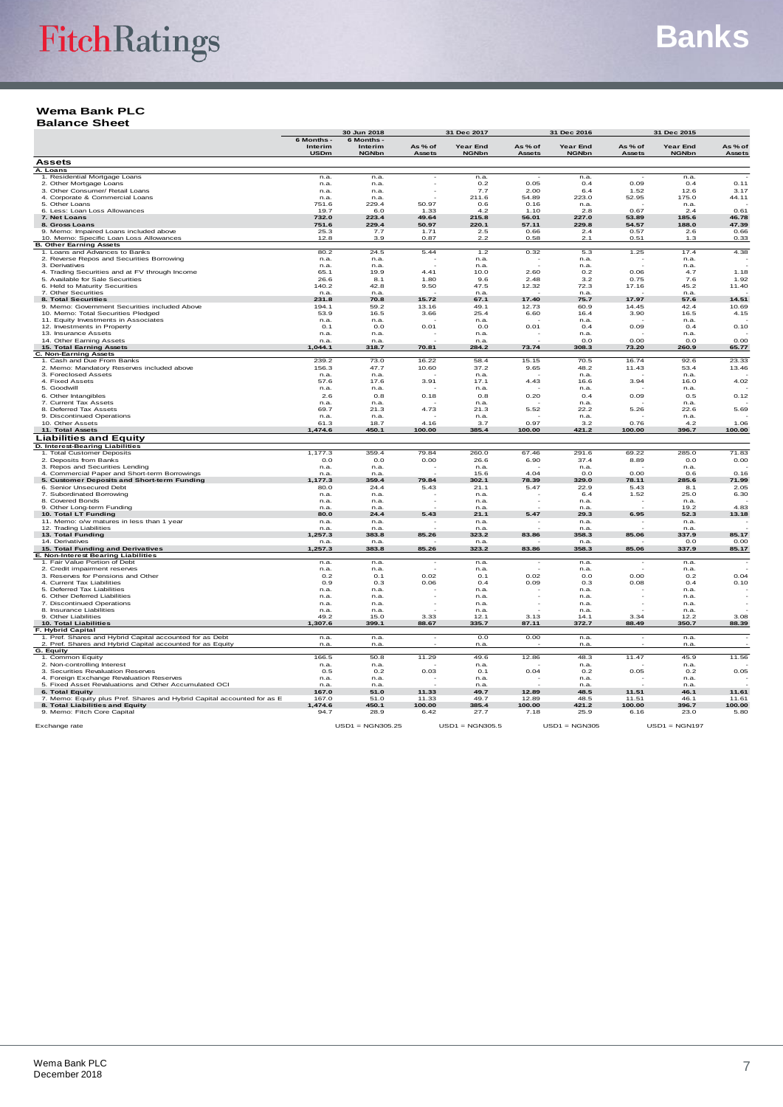#### **Wema Bank PLC Balance Sheet**

| Year End<br>As % of<br>$As \% of$<br>Interim<br>Interim<br>$As \% of$<br>As $%$ of<br>Year End<br>Year End<br><b>USDm</b><br><b>NGNbn</b><br>Assets<br><b>NGNbn</b><br>Assets<br><b>NGNbn</b><br>Assets<br><b>NGNbn</b><br>Assets<br><b>Assets</b><br>A. Loans<br>1. Residential Mortgage Loans<br>n.a.<br>n.a<br>n.a.<br>n.a.<br>n.a.<br>2. Other Mortgage Loans<br>n.a.<br>n.a.<br>0.2<br>0.05<br>0.4<br>0.09<br>0.4<br>0.11<br>3. Other Consumer/ Retail Loans<br>1.52<br>3.17<br>7.7<br>2.00<br>6.4<br>12.6<br>n.a.<br>n.a.<br>4. Corporate & Commercial Loans<br>n.a.<br>n.a.<br>211.6<br>54.89<br>223.0<br>52.95<br>175.0<br>44.11<br>5. Other Loans<br>751.6<br>229.4<br>50.97<br>0.6<br>0.16<br>n.a.<br>n.a.<br>0.67<br>0.61<br>6. Less: Loan Loss Allowances<br>1.10<br>2.8<br>19.7<br>6.0<br>1.33<br>4.2<br>2.4<br>7. Net Loans<br>732.0<br>223.4<br>49.64<br>215.8<br>56.01<br>227.0<br>53.89<br>185.6<br>46.78<br>229.4<br>229.8<br>47.39<br>8. Gross Loans<br>751.6<br>50.97<br>220.1<br>57.11<br>54.57<br>188.0<br>9. Memo: Impaired Loans included above<br>25.3<br>7.7<br>1.71<br>2.5<br>0.66<br>2.4<br>0.57<br>2.6<br>0.66<br>0.87<br>2.2<br>0.58<br>10. Memo: Specific Loan Loss Allowances<br>12.8<br>3.9<br>2.1<br>0.51<br>1.3<br>0.33<br><b>B. Other Earning Assets</b><br>1. Loans and Advances to Banks<br>80.2<br>24.5<br>5.44<br>1.2<br>0.32<br>5.3<br>1.25<br>17.4<br>4.38<br>2. Reverse Repos and Securities Borrowing<br>n.a.<br>n.a.<br>n.a.<br>n.a.<br>n.a.<br>3. Derivatives<br>n.a.<br>n.a.<br>n.a.<br>n.a.<br>n.a.<br>4. Trading Securities and at FV through Income<br>4.41<br>2.60<br>65.1<br>19.9<br>10.0<br>0.2<br>0.06<br>4.7<br>1.18<br>1.80<br>3.2<br>7.6<br>1.92<br>5. Available for Sale Securities<br>26.6<br>8.1<br>9.6<br>2.48<br>0.75<br>6. Held to Maturity Securities<br>140.2<br>42.8<br>9.50<br>47.5<br>12.32<br>72.3<br>17.16<br>45.2<br>11.40<br>7. Other Securities<br>n.a.<br>n.a.<br>n.a.<br>n.a.<br>n.a.<br>15.72<br>17.40<br>14.51<br>8. Total Securities<br>231.8<br>67.1<br>75.7<br>17.97<br>57.6<br>70.8<br>9. Memo: Government Securities included Above<br>194.1<br>59.2<br>13.16<br>49.1<br>12.73<br>60.9<br>14.45<br>42.4<br>10.69<br>10. Memo: Total Securities Pledged<br>53.9<br>16.5<br>3.66<br>25.4<br>6.60<br>16.4<br>3.90<br>16.5<br>4.15<br>11. Equity Investments in Associates<br>n.a.<br>n.a.<br>n.a.<br>n.a.<br>n.a.<br>12. Investments in Property<br>0.01<br>0.01<br>O.1<br>0.0<br>0.0<br>0.4<br>0.09<br>0.4<br>0.10<br>13. Insurance Assets<br>n.a.<br>n.a.<br>n.a.<br>n.a.<br>n.a.<br>14. Other Earning Assets<br>0.0<br>0.00<br>O.O<br>0.00<br>n.a<br>n.a<br>n.a.<br>15. Total Earning Assets<br>1.044.1<br>70.81<br>73.74<br>308.3<br>73.20<br>260.9<br>65.77<br>318.7<br>284.2<br>C. Non-Earning Assets<br>239.2<br>73.0<br>16.22<br>58.4<br>15.15<br>70.5<br>16.74<br>92.6<br>23.33<br>1. Cash and Due From Banks<br>156.3<br>48.2<br>2. Memo: Mandatory Reserves included above<br>47.7<br>10.60<br>37.2<br>9.65<br>11.43<br>53.4<br>13.46<br>3. Foreclosed Assets<br>n.a.<br>n.a.<br>n.a.<br>n.a.<br>n.a.<br>4. Fixed Assets<br>57.6<br>17.6<br>3.91<br>17.1<br>4.43<br>16.6<br>3.94<br>16.0<br>4.02<br>5. Goodwill<br>n.a.<br>n.a.<br>n.a.<br>n.a.<br>n.a.<br>6. Other Intangibles<br>2.6<br>0.8<br>0.18<br>0.8<br>0.20<br>0.4<br>0.09<br>0.5<br>0.12<br>7. Current Tax Assets<br>n.a.<br>n.a.<br>n.a.<br>n.a.<br>n.a.<br>8. Deferred Tax Assets<br>69.7<br>21.3<br>4.73<br>21.3<br>5.52<br>22.2<br>5.26<br>22.6<br>5.69<br>9. Discontinued Operations<br>n.a.<br>n.a.<br>n.a.<br>n.a.<br>n.a.<br>10. Other Assets<br>61.3<br>18.7<br>4.16<br>3.7<br>0.97<br>3.2<br>0.76<br>4.2<br>1.06<br>11. Total Assets<br>,474.6<br>450.1<br>100.00<br>385.4<br>100.00<br>421.2<br>100.00<br>396.7<br>100.00<br>Liabilities and Equity<br>D. Interest-Bearing Liabilities<br>79.84<br>291.6<br>1,177.3<br>359.4<br>260.0<br>69.22<br>285.0<br>71.83<br>1. Total Customer Deposits<br>67.46<br>0.00<br>37.4<br>2. Deposits from Banks<br>0.0<br>0.0<br>26.6<br>6.90<br>8.89<br>0.0<br>0.00<br>3. Repos and Securities Lending<br>n.a.<br>n.a.<br>n.a.<br>n.a.<br>n.a.<br>4. Commercial Paper and Short-term Borrowings<br>15.6<br>4.04<br>$_{0.0}$<br>0.00<br>0.16<br>n.a.<br>n.a<br>0.6<br>5. Customer Deposits and Short-term Funding<br>1.177.3<br>359.4<br>79.84<br>302.1<br>78.39<br>329.0<br>78.11<br>285.6<br>71.99<br>6. Senior Unsecured Debt<br>80.0<br>24.4<br>5.43<br>21.1<br>5.47<br>22.9<br>5.43<br>8.1<br>2.05<br>6.4<br>1.52<br>25.0<br>6.30<br>7. Subordinated Borrowing<br>n.a.<br>n.a.<br>n.a.<br>8. Covered Bonds<br>n.a.<br>n.a.<br>n.a.<br>n.a.<br>n.a.<br>9. Other Long-term Funding<br>19.2<br>4.83<br>n.a.<br>n.a<br>n.a.<br>n.a<br>10. Total LT Funding<br>80.0<br>5.43<br>5.47<br>29.3<br>6.95<br>52.3<br>13.18<br>24.4<br>21.1<br>11. Memo: o/w matures in less than 1 year<br>n.a.<br>n.a.<br>n.a.<br>n.a.<br>n.a.<br>12. Trading Liabilities<br>n.a.<br>n.a<br>n.a.<br>n.a<br>n.a<br>13. Total Funding<br>383.8<br>85.26<br>323.2<br>83.86<br>358.3<br>85.06<br>337.9<br>85.17<br>1.257.3<br>14. Derivatives<br>O.O<br>0.00<br>n.a<br>n.a<br>n.a.<br>n.a<br>15. Total Funding and Derivatives<br>1,257.3<br>383.8<br>85.26<br>323.2<br>83.86<br>358.3<br>85.06<br>337.9<br>85.17<br>E. Non-Interest Bearing Liabilities<br>1. Fair Value Portion of Debt<br>n.a.<br>n.a.<br>n.a.<br>n.a.<br>n.a<br>2. Credit impairment reserves<br>n.a.<br>n.a.<br>n.a.<br>n.a.<br>n.a.<br>3. Reserves for Pensions and Other<br>0.02<br>0.02<br>0.00<br>0.04<br>0.2<br>0.1<br>0.1<br>0.0<br>0.2<br>4. Current Tax Liabilities<br>0.06<br>0.10<br>0.9<br>0.3<br>0.4<br>0.09<br>0.3<br>0.08<br>0.4<br>5. Deferred Tax Liabilities<br>n.a.<br>n.a.<br>n.a.<br>n.a.<br>n.a.<br>6. Other Deferred Liabilities<br>n.a.<br>n.a.<br>n.a.<br>n.a.<br>n.a.<br>7. Discontinued Operations<br>n.a.<br>n.a.<br>n.a.<br>n.a.<br>n.a.<br>8. Insurance Liabilities<br>n.a.<br>n.a.<br>n.a.<br>n.a.<br>n.a.<br>9. Other Liabilities<br>49.2<br>15.0<br>3.33<br>12.1<br>3.13<br>14.1<br>3.34<br>3.08<br>12.2<br><b>10. Total Liabilities</b><br>1.307.6<br>88.67<br>372.7<br>88.49<br>350.7<br>88.39<br>399.1<br>335.7<br>87.11<br>F. Hybrid Capital<br>1. Pref. Shares and Hybrid Capital accounted for as Debt<br>0.0<br>0.00<br>n.a.<br>n.a.<br>n.a.<br>n.a.<br>2. Pref. Shares and Hybrid Capital accounted for as Equity<br>n.a.<br>n.a<br>n.a.<br>n.a<br>n.a.<br>G. Equity<br>11.29<br>1. Common Equity<br>166.5<br>50.8<br>49.6<br>12.86<br>48.3<br>11.47<br>45.9<br>11.56<br>2. Non-controlling Interest<br>n.a.<br>n.a.<br>n.a.<br>n.a.<br>n.a.<br>3. Securities Revaluation Reserves<br>0.5<br>0.2<br>0.03<br>0.1<br>0.04<br>0.2<br>0.05<br>0.2<br>0.05<br>4. Foreign Exchange Revaluation Reserves<br>n.a.<br>n.a.<br>n.a.<br>n.a.<br>n.a.<br>5. Fixed Asset Revaluations and Other Accumulated OCI<br>n.a.<br>n.a<br>n.a.<br>n.a<br>n.a.<br>11.33<br>6. Total Equity<br>167.0<br>51.0<br>49.7<br>12.89<br>48.5<br>11.51<br>46.1<br>11.61<br>7. Memo: Equity plus Pref. Shares and Hybrid Capital accounted for as E<br>11.33<br>48.5<br>167.0<br>51.0<br>49.7<br>12.89<br>11.51<br>46.1<br>11.61<br>8. Total Liabilities and Equity<br>1,474.6<br>100.00<br>385.4<br>100.00<br>421.2<br>100.00<br>396.7<br>100.00<br>450.1<br>9. Memo: Fitch Core Capital<br>94.7<br>28.9<br>6.42<br>27.7<br>7.18<br>25.9<br>6.16<br>23.0<br>5.80<br>$USD1 = NGN305.25$<br>$USD1 = NGN305.5$<br>$USD1 = NGN305$<br>$USD1 = NGN197$<br>Exchange rate |            | 30 Jun 2018 | 31 Dec 2017 |  | 31 Dec 2016 |  | 31 Dec 2015 |  |
|--------------------------------------------------------------------------------------------------------------------------------------------------------------------------------------------------------------------------------------------------------------------------------------------------------------------------------------------------------------------------------------------------------------------------------------------------------------------------------------------------------------------------------------------------------------------------------------------------------------------------------------------------------------------------------------------------------------------------------------------------------------------------------------------------------------------------------------------------------------------------------------------------------------------------------------------------------------------------------------------------------------------------------------------------------------------------------------------------------------------------------------------------------------------------------------------------------------------------------------------------------------------------------------------------------------------------------------------------------------------------------------------------------------------------------------------------------------------------------------------------------------------------------------------------------------------------------------------------------------------------------------------------------------------------------------------------------------------------------------------------------------------------------------------------------------------------------------------------------------------------------------------------------------------------------------------------------------------------------------------------------------------------------------------------------------------------------------------------------------------------------------------------------------------------------------------------------------------------------------------------------------------------------------------------------------------------------------------------------------------------------------------------------------------------------------------------------------------------------------------------------------------------------------------------------------------------------------------------------------------------------------------------------------------------------------------------------------------------------------------------------------------------------------------------------------------------------------------------------------------------------------------------------------------------------------------------------------------------------------------------------------------------------------------------------------------------------------------------------------------------------------------------------------------------------------------------------------------------------------------------------------------------------------------------------------------------------------------------------------------------------------------------------------------------------------------------------------------------------------------------------------------------------------------------------------------------------------------------------------------------------------------------------------------------------------------------------------------------------------------------------------------------------------------------------------------------------------------------------------------------------------------------------------------------------------------------------------------------------------------------------------------------------------------------------------------------------------------------------------------------------------------------------------------------------------------------------------------------------------------------------------------------------------------------------------------------------------------------------------------------------------------------------------------------------------------------------------------------------------------------------------------------------------------------------------------------------------------------------------------------------------------------------------------------------------------------------------------------------------------------------------------------------------------------------------------------------------------------------------------------------------------------------------------------------------------------------------------------------------------------------------------------------------------------------------------------------------------------------------------------------------------------------------------------------------------------------------------------------------------------------------------------------------------------------------------------------------------------------------------------------------------------------------------------------------------------------------------------------------------------------------------------------------------------------------------------------------------------------------------------------------------------------------------------------------------------------------------------------------------------------------------------------------------------------------------------------------------------------------------------------------------------------------------------------------------------------------------------------------------------------------------------------------------------------------------------------------------------------------------------------------------------------------------------------------------------------------------------------------------------------------------------------------------------------------------------------------------------------------------------------------------------------------------------------------------------------------------------------------------------------------------------------------------------------------------------------------------------------------------------------------------------------------------------------------------------------------------------------------------------------------------------------------------------------------------------------------------------------------------------------------------------------------------------------------------------------------------------------------------------------------------------------------------------------------------------------------------------------------------------------------------------------------------------------------------------------------------------------------------------------------------------------------------------------------------------------------------------------------------------------------------------------------------------------------------------------------------------------------------------------------------------|------------|-------------|-------------|--|-------------|--|-------------|--|
|                                                                                                                                                                                                                                                                                                                                                                                                                                                                                                                                                                                                                                                                                                                                                                                                                                                                                                                                                                                                                                                                                                                                                                                                                                                                                                                                                                                                                                                                                                                                                                                                                                                                                                                                                                                                                                                                                                                                                                                                                                                                                                                                                                                                                                                                                                                                                                                                                                                                                                                                                                                                                                                                                                                                                                                                                                                                                                                                                                                                                                                                                                                                                                                                                                                                                                                                                                                                                                                                                                                                                                                                                                                                                                                                                                                                                                                                                                                                                                                                                                                                                                                                                                                                                                                                                                                                                                                                                                                                                                                                                                                                                                                                                                                                                                                                                                                                                                                                                                                                                                                                                                                                                                                                                                                                                                                                                                                                                                                                                                                                                                                                                                                                                                                                                                                                                                                                                                                                                                                                                                                                                                                                                                                                                                                                                                                                                                                                                                                                                                                                                                                                                                                                                                                                                                                                                                                                                                                                                                                                                                                                                                                                                                                                                                                                                                                                                                                                                                                                                                                          | 6 Months - | 6 Months    |             |  |             |  |             |  |
|                                                                                                                                                                                                                                                                                                                                                                                                                                                                                                                                                                                                                                                                                                                                                                                                                                                                                                                                                                                                                                                                                                                                                                                                                                                                                                                                                                                                                                                                                                                                                                                                                                                                                                                                                                                                                                                                                                                                                                                                                                                                                                                                                                                                                                                                                                                                                                                                                                                                                                                                                                                                                                                                                                                                                                                                                                                                                                                                                                                                                                                                                                                                                                                                                                                                                                                                                                                                                                                                                                                                                                                                                                                                                                                                                                                                                                                                                                                                                                                                                                                                                                                                                                                                                                                                                                                                                                                                                                                                                                                                                                                                                                                                                                                                                                                                                                                                                                                                                                                                                                                                                                                                                                                                                                                                                                                                                                                                                                                                                                                                                                                                                                                                                                                                                                                                                                                                                                                                                                                                                                                                                                                                                                                                                                                                                                                                                                                                                                                                                                                                                                                                                                                                                                                                                                                                                                                                                                                                                                                                                                                                                                                                                                                                                                                                                                                                                                                                                                                                                                                          |            |             |             |  |             |  |             |  |
|                                                                                                                                                                                                                                                                                                                                                                                                                                                                                                                                                                                                                                                                                                                                                                                                                                                                                                                                                                                                                                                                                                                                                                                                                                                                                                                                                                                                                                                                                                                                                                                                                                                                                                                                                                                                                                                                                                                                                                                                                                                                                                                                                                                                                                                                                                                                                                                                                                                                                                                                                                                                                                                                                                                                                                                                                                                                                                                                                                                                                                                                                                                                                                                                                                                                                                                                                                                                                                                                                                                                                                                                                                                                                                                                                                                                                                                                                                                                                                                                                                                                                                                                                                                                                                                                                                                                                                                                                                                                                                                                                                                                                                                                                                                                                                                                                                                                                                                                                                                                                                                                                                                                                                                                                                                                                                                                                                                                                                                                                                                                                                                                                                                                                                                                                                                                                                                                                                                                                                                                                                                                                                                                                                                                                                                                                                                                                                                                                                                                                                                                                                                                                                                                                                                                                                                                                                                                                                                                                                                                                                                                                                                                                                                                                                                                                                                                                                                                                                                                                                                          |            |             |             |  |             |  |             |  |
|                                                                                                                                                                                                                                                                                                                                                                                                                                                                                                                                                                                                                                                                                                                                                                                                                                                                                                                                                                                                                                                                                                                                                                                                                                                                                                                                                                                                                                                                                                                                                                                                                                                                                                                                                                                                                                                                                                                                                                                                                                                                                                                                                                                                                                                                                                                                                                                                                                                                                                                                                                                                                                                                                                                                                                                                                                                                                                                                                                                                                                                                                                                                                                                                                                                                                                                                                                                                                                                                                                                                                                                                                                                                                                                                                                                                                                                                                                                                                                                                                                                                                                                                                                                                                                                                                                                                                                                                                                                                                                                                                                                                                                                                                                                                                                                                                                                                                                                                                                                                                                                                                                                                                                                                                                                                                                                                                                                                                                                                                                                                                                                                                                                                                                                                                                                                                                                                                                                                                                                                                                                                                                                                                                                                                                                                                                                                                                                                                                                                                                                                                                                                                                                                                                                                                                                                                                                                                                                                                                                                                                                                                                                                                                                                                                                                                                                                                                                                                                                                                                                          |            |             |             |  |             |  |             |  |
|                                                                                                                                                                                                                                                                                                                                                                                                                                                                                                                                                                                                                                                                                                                                                                                                                                                                                                                                                                                                                                                                                                                                                                                                                                                                                                                                                                                                                                                                                                                                                                                                                                                                                                                                                                                                                                                                                                                                                                                                                                                                                                                                                                                                                                                                                                                                                                                                                                                                                                                                                                                                                                                                                                                                                                                                                                                                                                                                                                                                                                                                                                                                                                                                                                                                                                                                                                                                                                                                                                                                                                                                                                                                                                                                                                                                                                                                                                                                                                                                                                                                                                                                                                                                                                                                                                                                                                                                                                                                                                                                                                                                                                                                                                                                                                                                                                                                                                                                                                                                                                                                                                                                                                                                                                                                                                                                                                                                                                                                                                                                                                                                                                                                                                                                                                                                                                                                                                                                                                                                                                                                                                                                                                                                                                                                                                                                                                                                                                                                                                                                                                                                                                                                                                                                                                                                                                                                                                                                                                                                                                                                                                                                                                                                                                                                                                                                                                                                                                                                                                                          |            |             |             |  |             |  |             |  |
|                                                                                                                                                                                                                                                                                                                                                                                                                                                                                                                                                                                                                                                                                                                                                                                                                                                                                                                                                                                                                                                                                                                                                                                                                                                                                                                                                                                                                                                                                                                                                                                                                                                                                                                                                                                                                                                                                                                                                                                                                                                                                                                                                                                                                                                                                                                                                                                                                                                                                                                                                                                                                                                                                                                                                                                                                                                                                                                                                                                                                                                                                                                                                                                                                                                                                                                                                                                                                                                                                                                                                                                                                                                                                                                                                                                                                                                                                                                                                                                                                                                                                                                                                                                                                                                                                                                                                                                                                                                                                                                                                                                                                                                                                                                                                                                                                                                                                                                                                                                                                                                                                                                                                                                                                                                                                                                                                                                                                                                                                                                                                                                                                                                                                                                                                                                                                                                                                                                                                                                                                                                                                                                                                                                                                                                                                                                                                                                                                                                                                                                                                                                                                                                                                                                                                                                                                                                                                                                                                                                                                                                                                                                                                                                                                                                                                                                                                                                                                                                                                                                          |            |             |             |  |             |  |             |  |
|                                                                                                                                                                                                                                                                                                                                                                                                                                                                                                                                                                                                                                                                                                                                                                                                                                                                                                                                                                                                                                                                                                                                                                                                                                                                                                                                                                                                                                                                                                                                                                                                                                                                                                                                                                                                                                                                                                                                                                                                                                                                                                                                                                                                                                                                                                                                                                                                                                                                                                                                                                                                                                                                                                                                                                                                                                                                                                                                                                                                                                                                                                                                                                                                                                                                                                                                                                                                                                                                                                                                                                                                                                                                                                                                                                                                                                                                                                                                                                                                                                                                                                                                                                                                                                                                                                                                                                                                                                                                                                                                                                                                                                                                                                                                                                                                                                                                                                                                                                                                                                                                                                                                                                                                                                                                                                                                                                                                                                                                                                                                                                                                                                                                                                                                                                                                                                                                                                                                                                                                                                                                                                                                                                                                                                                                                                                                                                                                                                                                                                                                                                                                                                                                                                                                                                                                                                                                                                                                                                                                                                                                                                                                                                                                                                                                                                                                                                                                                                                                                                                          |            |             |             |  |             |  |             |  |
|                                                                                                                                                                                                                                                                                                                                                                                                                                                                                                                                                                                                                                                                                                                                                                                                                                                                                                                                                                                                                                                                                                                                                                                                                                                                                                                                                                                                                                                                                                                                                                                                                                                                                                                                                                                                                                                                                                                                                                                                                                                                                                                                                                                                                                                                                                                                                                                                                                                                                                                                                                                                                                                                                                                                                                                                                                                                                                                                                                                                                                                                                                                                                                                                                                                                                                                                                                                                                                                                                                                                                                                                                                                                                                                                                                                                                                                                                                                                                                                                                                                                                                                                                                                                                                                                                                                                                                                                                                                                                                                                                                                                                                                                                                                                                                                                                                                                                                                                                                                                                                                                                                                                                                                                                                                                                                                                                                                                                                                                                                                                                                                                                                                                                                                                                                                                                                                                                                                                                                                                                                                                                                                                                                                                                                                                                                                                                                                                                                                                                                                                                                                                                                                                                                                                                                                                                                                                                                                                                                                                                                                                                                                                                                                                                                                                                                                                                                                                                                                                                                                          |            |             |             |  |             |  |             |  |
|                                                                                                                                                                                                                                                                                                                                                                                                                                                                                                                                                                                                                                                                                                                                                                                                                                                                                                                                                                                                                                                                                                                                                                                                                                                                                                                                                                                                                                                                                                                                                                                                                                                                                                                                                                                                                                                                                                                                                                                                                                                                                                                                                                                                                                                                                                                                                                                                                                                                                                                                                                                                                                                                                                                                                                                                                                                                                                                                                                                                                                                                                                                                                                                                                                                                                                                                                                                                                                                                                                                                                                                                                                                                                                                                                                                                                                                                                                                                                                                                                                                                                                                                                                                                                                                                                                                                                                                                                                                                                                                                                                                                                                                                                                                                                                                                                                                                                                                                                                                                                                                                                                                                                                                                                                                                                                                                                                                                                                                                                                                                                                                                                                                                                                                                                                                                                                                                                                                                                                                                                                                                                                                                                                                                                                                                                                                                                                                                                                                                                                                                                                                                                                                                                                                                                                                                                                                                                                                                                                                                                                                                                                                                                                                                                                                                                                                                                                                                                                                                                                                          |            |             |             |  |             |  |             |  |
|                                                                                                                                                                                                                                                                                                                                                                                                                                                                                                                                                                                                                                                                                                                                                                                                                                                                                                                                                                                                                                                                                                                                                                                                                                                                                                                                                                                                                                                                                                                                                                                                                                                                                                                                                                                                                                                                                                                                                                                                                                                                                                                                                                                                                                                                                                                                                                                                                                                                                                                                                                                                                                                                                                                                                                                                                                                                                                                                                                                                                                                                                                                                                                                                                                                                                                                                                                                                                                                                                                                                                                                                                                                                                                                                                                                                                                                                                                                                                                                                                                                                                                                                                                                                                                                                                                                                                                                                                                                                                                                                                                                                                                                                                                                                                                                                                                                                                                                                                                                                                                                                                                                                                                                                                                                                                                                                                                                                                                                                                                                                                                                                                                                                                                                                                                                                                                                                                                                                                                                                                                                                                                                                                                                                                                                                                                                                                                                                                                                                                                                                                                                                                                                                                                                                                                                                                                                                                                                                                                                                                                                                                                                                                                                                                                                                                                                                                                                                                                                                                                                          |            |             |             |  |             |  |             |  |
|                                                                                                                                                                                                                                                                                                                                                                                                                                                                                                                                                                                                                                                                                                                                                                                                                                                                                                                                                                                                                                                                                                                                                                                                                                                                                                                                                                                                                                                                                                                                                                                                                                                                                                                                                                                                                                                                                                                                                                                                                                                                                                                                                                                                                                                                                                                                                                                                                                                                                                                                                                                                                                                                                                                                                                                                                                                                                                                                                                                                                                                                                                                                                                                                                                                                                                                                                                                                                                                                                                                                                                                                                                                                                                                                                                                                                                                                                                                                                                                                                                                                                                                                                                                                                                                                                                                                                                                                                                                                                                                                                                                                                                                                                                                                                                                                                                                                                                                                                                                                                                                                                                                                                                                                                                                                                                                                                                                                                                                                                                                                                                                                                                                                                                                                                                                                                                                                                                                                                                                                                                                                                                                                                                                                                                                                                                                                                                                                                                                                                                                                                                                                                                                                                                                                                                                                                                                                                                                                                                                                                                                                                                                                                                                                                                                                                                                                                                                                                                                                                                                          |            |             |             |  |             |  |             |  |
|                                                                                                                                                                                                                                                                                                                                                                                                                                                                                                                                                                                                                                                                                                                                                                                                                                                                                                                                                                                                                                                                                                                                                                                                                                                                                                                                                                                                                                                                                                                                                                                                                                                                                                                                                                                                                                                                                                                                                                                                                                                                                                                                                                                                                                                                                                                                                                                                                                                                                                                                                                                                                                                                                                                                                                                                                                                                                                                                                                                                                                                                                                                                                                                                                                                                                                                                                                                                                                                                                                                                                                                                                                                                                                                                                                                                                                                                                                                                                                                                                                                                                                                                                                                                                                                                                                                                                                                                                                                                                                                                                                                                                                                                                                                                                                                                                                                                                                                                                                                                                                                                                                                                                                                                                                                                                                                                                                                                                                                                                                                                                                                                                                                                                                                                                                                                                                                                                                                                                                                                                                                                                                                                                                                                                                                                                                                                                                                                                                                                                                                                                                                                                                                                                                                                                                                                                                                                                                                                                                                                                                                                                                                                                                                                                                                                                                                                                                                                                                                                                                                          |            |             |             |  |             |  |             |  |
|                                                                                                                                                                                                                                                                                                                                                                                                                                                                                                                                                                                                                                                                                                                                                                                                                                                                                                                                                                                                                                                                                                                                                                                                                                                                                                                                                                                                                                                                                                                                                                                                                                                                                                                                                                                                                                                                                                                                                                                                                                                                                                                                                                                                                                                                                                                                                                                                                                                                                                                                                                                                                                                                                                                                                                                                                                                                                                                                                                                                                                                                                                                                                                                                                                                                                                                                                                                                                                                                                                                                                                                                                                                                                                                                                                                                                                                                                                                                                                                                                                                                                                                                                                                                                                                                                                                                                                                                                                                                                                                                                                                                                                                                                                                                                                                                                                                                                                                                                                                                                                                                                                                                                                                                                                                                                                                                                                                                                                                                                                                                                                                                                                                                                                                                                                                                                                                                                                                                                                                                                                                                                                                                                                                                                                                                                                                                                                                                                                                                                                                                                                                                                                                                                                                                                                                                                                                                                                                                                                                                                                                                                                                                                                                                                                                                                                                                                                                                                                                                                                                          |            |             |             |  |             |  |             |  |
|                                                                                                                                                                                                                                                                                                                                                                                                                                                                                                                                                                                                                                                                                                                                                                                                                                                                                                                                                                                                                                                                                                                                                                                                                                                                                                                                                                                                                                                                                                                                                                                                                                                                                                                                                                                                                                                                                                                                                                                                                                                                                                                                                                                                                                                                                                                                                                                                                                                                                                                                                                                                                                                                                                                                                                                                                                                                                                                                                                                                                                                                                                                                                                                                                                                                                                                                                                                                                                                                                                                                                                                                                                                                                                                                                                                                                                                                                                                                                                                                                                                                                                                                                                                                                                                                                                                                                                                                                                                                                                                                                                                                                                                                                                                                                                                                                                                                                                                                                                                                                                                                                                                                                                                                                                                                                                                                                                                                                                                                                                                                                                                                                                                                                                                                                                                                                                                                                                                                                                                                                                                                                                                                                                                                                                                                                                                                                                                                                                                                                                                                                                                                                                                                                                                                                                                                                                                                                                                                                                                                                                                                                                                                                                                                                                                                                                                                                                                                                                                                                                                          |            |             |             |  |             |  |             |  |
|                                                                                                                                                                                                                                                                                                                                                                                                                                                                                                                                                                                                                                                                                                                                                                                                                                                                                                                                                                                                                                                                                                                                                                                                                                                                                                                                                                                                                                                                                                                                                                                                                                                                                                                                                                                                                                                                                                                                                                                                                                                                                                                                                                                                                                                                                                                                                                                                                                                                                                                                                                                                                                                                                                                                                                                                                                                                                                                                                                                                                                                                                                                                                                                                                                                                                                                                                                                                                                                                                                                                                                                                                                                                                                                                                                                                                                                                                                                                                                                                                                                                                                                                                                                                                                                                                                                                                                                                                                                                                                                                                                                                                                                                                                                                                                                                                                                                                                                                                                                                                                                                                                                                                                                                                                                                                                                                                                                                                                                                                                                                                                                                                                                                                                                                                                                                                                                                                                                                                                                                                                                                                                                                                                                                                                                                                                                                                                                                                                                                                                                                                                                                                                                                                                                                                                                                                                                                                                                                                                                                                                                                                                                                                                                                                                                                                                                                                                                                                                                                                                                          |            |             |             |  |             |  |             |  |
|                                                                                                                                                                                                                                                                                                                                                                                                                                                                                                                                                                                                                                                                                                                                                                                                                                                                                                                                                                                                                                                                                                                                                                                                                                                                                                                                                                                                                                                                                                                                                                                                                                                                                                                                                                                                                                                                                                                                                                                                                                                                                                                                                                                                                                                                                                                                                                                                                                                                                                                                                                                                                                                                                                                                                                                                                                                                                                                                                                                                                                                                                                                                                                                                                                                                                                                                                                                                                                                                                                                                                                                                                                                                                                                                                                                                                                                                                                                                                                                                                                                                                                                                                                                                                                                                                                                                                                                                                                                                                                                                                                                                                                                                                                                                                                                                                                                                                                                                                                                                                                                                                                                                                                                                                                                                                                                                                                                                                                                                                                                                                                                                                                                                                                                                                                                                                                                                                                                                                                                                                                                                                                                                                                                                                                                                                                                                                                                                                                                                                                                                                                                                                                                                                                                                                                                                                                                                                                                                                                                                                                                                                                                                                                                                                                                                                                                                                                                                                                                                                                                          |            |             |             |  |             |  |             |  |
|                                                                                                                                                                                                                                                                                                                                                                                                                                                                                                                                                                                                                                                                                                                                                                                                                                                                                                                                                                                                                                                                                                                                                                                                                                                                                                                                                                                                                                                                                                                                                                                                                                                                                                                                                                                                                                                                                                                                                                                                                                                                                                                                                                                                                                                                                                                                                                                                                                                                                                                                                                                                                                                                                                                                                                                                                                                                                                                                                                                                                                                                                                                                                                                                                                                                                                                                                                                                                                                                                                                                                                                                                                                                                                                                                                                                                                                                                                                                                                                                                                                                                                                                                                                                                                                                                                                                                                                                                                                                                                                                                                                                                                                                                                                                                                                                                                                                                                                                                                                                                                                                                                                                                                                                                                                                                                                                                                                                                                                                                                                                                                                                                                                                                                                                                                                                                                                                                                                                                                                                                                                                                                                                                                                                                                                                                                                                                                                                                                                                                                                                                                                                                                                                                                                                                                                                                                                                                                                                                                                                                                                                                                                                                                                                                                                                                                                                                                                                                                                                                                                          |            |             |             |  |             |  |             |  |
|                                                                                                                                                                                                                                                                                                                                                                                                                                                                                                                                                                                                                                                                                                                                                                                                                                                                                                                                                                                                                                                                                                                                                                                                                                                                                                                                                                                                                                                                                                                                                                                                                                                                                                                                                                                                                                                                                                                                                                                                                                                                                                                                                                                                                                                                                                                                                                                                                                                                                                                                                                                                                                                                                                                                                                                                                                                                                                                                                                                                                                                                                                                                                                                                                                                                                                                                                                                                                                                                                                                                                                                                                                                                                                                                                                                                                                                                                                                                                                                                                                                                                                                                                                                                                                                                                                                                                                                                                                                                                                                                                                                                                                                                                                                                                                                                                                                                                                                                                                                                                                                                                                                                                                                                                                                                                                                                                                                                                                                                                                                                                                                                                                                                                                                                                                                                                                                                                                                                                                                                                                                                                                                                                                                                                                                                                                                                                                                                                                                                                                                                                                                                                                                                                                                                                                                                                                                                                                                                                                                                                                                                                                                                                                                                                                                                                                                                                                                                                                                                                                                          |            |             |             |  |             |  |             |  |
|                                                                                                                                                                                                                                                                                                                                                                                                                                                                                                                                                                                                                                                                                                                                                                                                                                                                                                                                                                                                                                                                                                                                                                                                                                                                                                                                                                                                                                                                                                                                                                                                                                                                                                                                                                                                                                                                                                                                                                                                                                                                                                                                                                                                                                                                                                                                                                                                                                                                                                                                                                                                                                                                                                                                                                                                                                                                                                                                                                                                                                                                                                                                                                                                                                                                                                                                                                                                                                                                                                                                                                                                                                                                                                                                                                                                                                                                                                                                                                                                                                                                                                                                                                                                                                                                                                                                                                                                                                                                                                                                                                                                                                                                                                                                                                                                                                                                                                                                                                                                                                                                                                                                                                                                                                                                                                                                                                                                                                                                                                                                                                                                                                                                                                                                                                                                                                                                                                                                                                                                                                                                                                                                                                                                                                                                                                                                                                                                                                                                                                                                                                                                                                                                                                                                                                                                                                                                                                                                                                                                                                                                                                                                                                                                                                                                                                                                                                                                                                                                                                                          |            |             |             |  |             |  |             |  |
|                                                                                                                                                                                                                                                                                                                                                                                                                                                                                                                                                                                                                                                                                                                                                                                                                                                                                                                                                                                                                                                                                                                                                                                                                                                                                                                                                                                                                                                                                                                                                                                                                                                                                                                                                                                                                                                                                                                                                                                                                                                                                                                                                                                                                                                                                                                                                                                                                                                                                                                                                                                                                                                                                                                                                                                                                                                                                                                                                                                                                                                                                                                                                                                                                                                                                                                                                                                                                                                                                                                                                                                                                                                                                                                                                                                                                                                                                                                                                                                                                                                                                                                                                                                                                                                                                                                                                                                                                                                                                                                                                                                                                                                                                                                                                                                                                                                                                                                                                                                                                                                                                                                                                                                                                                                                                                                                                                                                                                                                                                                                                                                                                                                                                                                                                                                                                                                                                                                                                                                                                                                                                                                                                                                                                                                                                                                                                                                                                                                                                                                                                                                                                                                                                                                                                                                                                                                                                                                                                                                                                                                                                                                                                                                                                                                                                                                                                                                                                                                                                                                          |            |             |             |  |             |  |             |  |
|                                                                                                                                                                                                                                                                                                                                                                                                                                                                                                                                                                                                                                                                                                                                                                                                                                                                                                                                                                                                                                                                                                                                                                                                                                                                                                                                                                                                                                                                                                                                                                                                                                                                                                                                                                                                                                                                                                                                                                                                                                                                                                                                                                                                                                                                                                                                                                                                                                                                                                                                                                                                                                                                                                                                                                                                                                                                                                                                                                                                                                                                                                                                                                                                                                                                                                                                                                                                                                                                                                                                                                                                                                                                                                                                                                                                                                                                                                                                                                                                                                                                                                                                                                                                                                                                                                                                                                                                                                                                                                                                                                                                                                                                                                                                                                                                                                                                                                                                                                                                                                                                                                                                                                                                                                                                                                                                                                                                                                                                                                                                                                                                                                                                                                                                                                                                                                                                                                                                                                                                                                                                                                                                                                                                                                                                                                                                                                                                                                                                                                                                                                                                                                                                                                                                                                                                                                                                                                                                                                                                                                                                                                                                                                                                                                                                                                                                                                                                                                                                                                                          |            |             |             |  |             |  |             |  |
|                                                                                                                                                                                                                                                                                                                                                                                                                                                                                                                                                                                                                                                                                                                                                                                                                                                                                                                                                                                                                                                                                                                                                                                                                                                                                                                                                                                                                                                                                                                                                                                                                                                                                                                                                                                                                                                                                                                                                                                                                                                                                                                                                                                                                                                                                                                                                                                                                                                                                                                                                                                                                                                                                                                                                                                                                                                                                                                                                                                                                                                                                                                                                                                                                                                                                                                                                                                                                                                                                                                                                                                                                                                                                                                                                                                                                                                                                                                                                                                                                                                                                                                                                                                                                                                                                                                                                                                                                                                                                                                                                                                                                                                                                                                                                                                                                                                                                                                                                                                                                                                                                                                                                                                                                                                                                                                                                                                                                                                                                                                                                                                                                                                                                                                                                                                                                                                                                                                                                                                                                                                                                                                                                                                                                                                                                                                                                                                                                                                                                                                                                                                                                                                                                                                                                                                                                                                                                                                                                                                                                                                                                                                                                                                                                                                                                                                                                                                                                                                                                                                          |            |             |             |  |             |  |             |  |
|                                                                                                                                                                                                                                                                                                                                                                                                                                                                                                                                                                                                                                                                                                                                                                                                                                                                                                                                                                                                                                                                                                                                                                                                                                                                                                                                                                                                                                                                                                                                                                                                                                                                                                                                                                                                                                                                                                                                                                                                                                                                                                                                                                                                                                                                                                                                                                                                                                                                                                                                                                                                                                                                                                                                                                                                                                                                                                                                                                                                                                                                                                                                                                                                                                                                                                                                                                                                                                                                                                                                                                                                                                                                                                                                                                                                                                                                                                                                                                                                                                                                                                                                                                                                                                                                                                                                                                                                                                                                                                                                                                                                                                                                                                                                                                                                                                                                                                                                                                                                                                                                                                                                                                                                                                                                                                                                                                                                                                                                                                                                                                                                                                                                                                                                                                                                                                                                                                                                                                                                                                                                                                                                                                                                                                                                                                                                                                                                                                                                                                                                                                                                                                                                                                                                                                                                                                                                                                                                                                                                                                                                                                                                                                                                                                                                                                                                                                                                                                                                                                                          |            |             |             |  |             |  |             |  |
|                                                                                                                                                                                                                                                                                                                                                                                                                                                                                                                                                                                                                                                                                                                                                                                                                                                                                                                                                                                                                                                                                                                                                                                                                                                                                                                                                                                                                                                                                                                                                                                                                                                                                                                                                                                                                                                                                                                                                                                                                                                                                                                                                                                                                                                                                                                                                                                                                                                                                                                                                                                                                                                                                                                                                                                                                                                                                                                                                                                                                                                                                                                                                                                                                                                                                                                                                                                                                                                                                                                                                                                                                                                                                                                                                                                                                                                                                                                                                                                                                                                                                                                                                                                                                                                                                                                                                                                                                                                                                                                                                                                                                                                                                                                                                                                                                                                                                                                                                                                                                                                                                                                                                                                                                                                                                                                                                                                                                                                                                                                                                                                                                                                                                                                                                                                                                                                                                                                                                                                                                                                                                                                                                                                                                                                                                                                                                                                                                                                                                                                                                                                                                                                                                                                                                                                                                                                                                                                                                                                                                                                                                                                                                                                                                                                                                                                                                                                                                                                                                                                          |            |             |             |  |             |  |             |  |
|                                                                                                                                                                                                                                                                                                                                                                                                                                                                                                                                                                                                                                                                                                                                                                                                                                                                                                                                                                                                                                                                                                                                                                                                                                                                                                                                                                                                                                                                                                                                                                                                                                                                                                                                                                                                                                                                                                                                                                                                                                                                                                                                                                                                                                                                                                                                                                                                                                                                                                                                                                                                                                                                                                                                                                                                                                                                                                                                                                                                                                                                                                                                                                                                                                                                                                                                                                                                                                                                                                                                                                                                                                                                                                                                                                                                                                                                                                                                                                                                                                                                                                                                                                                                                                                                                                                                                                                                                                                                                                                                                                                                                                                                                                                                                                                                                                                                                                                                                                                                                                                                                                                                                                                                                                                                                                                                                                                                                                                                                                                                                                                                                                                                                                                                                                                                                                                                                                                                                                                                                                                                                                                                                                                                                                                                                                                                                                                                                                                                                                                                                                                                                                                                                                                                                                                                                                                                                                                                                                                                                                                                                                                                                                                                                                                                                                                                                                                                                                                                                                                          |            |             |             |  |             |  |             |  |
|                                                                                                                                                                                                                                                                                                                                                                                                                                                                                                                                                                                                                                                                                                                                                                                                                                                                                                                                                                                                                                                                                                                                                                                                                                                                                                                                                                                                                                                                                                                                                                                                                                                                                                                                                                                                                                                                                                                                                                                                                                                                                                                                                                                                                                                                                                                                                                                                                                                                                                                                                                                                                                                                                                                                                                                                                                                                                                                                                                                                                                                                                                                                                                                                                                                                                                                                                                                                                                                                                                                                                                                                                                                                                                                                                                                                                                                                                                                                                                                                                                                                                                                                                                                                                                                                                                                                                                                                                                                                                                                                                                                                                                                                                                                                                                                                                                                                                                                                                                                                                                                                                                                                                                                                                                                                                                                                                                                                                                                                                                                                                                                                                                                                                                                                                                                                                                                                                                                                                                                                                                                                                                                                                                                                                                                                                                                                                                                                                                                                                                                                                                                                                                                                                                                                                                                                                                                                                                                                                                                                                                                                                                                                                                                                                                                                                                                                                                                                                                                                                                                          |            |             |             |  |             |  |             |  |
|                                                                                                                                                                                                                                                                                                                                                                                                                                                                                                                                                                                                                                                                                                                                                                                                                                                                                                                                                                                                                                                                                                                                                                                                                                                                                                                                                                                                                                                                                                                                                                                                                                                                                                                                                                                                                                                                                                                                                                                                                                                                                                                                                                                                                                                                                                                                                                                                                                                                                                                                                                                                                                                                                                                                                                                                                                                                                                                                                                                                                                                                                                                                                                                                                                                                                                                                                                                                                                                                                                                                                                                                                                                                                                                                                                                                                                                                                                                                                                                                                                                                                                                                                                                                                                                                                                                                                                                                                                                                                                                                                                                                                                                                                                                                                                                                                                                                                                                                                                                                                                                                                                                                                                                                                                                                                                                                                                                                                                                                                                                                                                                                                                                                                                                                                                                                                                                                                                                                                                                                                                                                                                                                                                                                                                                                                                                                                                                                                                                                                                                                                                                                                                                                                                                                                                                                                                                                                                                                                                                                                                                                                                                                                                                                                                                                                                                                                                                                                                                                                                                          |            |             |             |  |             |  |             |  |
|                                                                                                                                                                                                                                                                                                                                                                                                                                                                                                                                                                                                                                                                                                                                                                                                                                                                                                                                                                                                                                                                                                                                                                                                                                                                                                                                                                                                                                                                                                                                                                                                                                                                                                                                                                                                                                                                                                                                                                                                                                                                                                                                                                                                                                                                                                                                                                                                                                                                                                                                                                                                                                                                                                                                                                                                                                                                                                                                                                                                                                                                                                                                                                                                                                                                                                                                                                                                                                                                                                                                                                                                                                                                                                                                                                                                                                                                                                                                                                                                                                                                                                                                                                                                                                                                                                                                                                                                                                                                                                                                                                                                                                                                                                                                                                                                                                                                                                                                                                                                                                                                                                                                                                                                                                                                                                                                                                                                                                                                                                                                                                                                                                                                                                                                                                                                                                                                                                                                                                                                                                                                                                                                                                                                                                                                                                                                                                                                                                                                                                                                                                                                                                                                                                                                                                                                                                                                                                                                                                                                                                                                                                                                                                                                                                                                                                                                                                                                                                                                                                                          |            |             |             |  |             |  |             |  |
|                                                                                                                                                                                                                                                                                                                                                                                                                                                                                                                                                                                                                                                                                                                                                                                                                                                                                                                                                                                                                                                                                                                                                                                                                                                                                                                                                                                                                                                                                                                                                                                                                                                                                                                                                                                                                                                                                                                                                                                                                                                                                                                                                                                                                                                                                                                                                                                                                                                                                                                                                                                                                                                                                                                                                                                                                                                                                                                                                                                                                                                                                                                                                                                                                                                                                                                                                                                                                                                                                                                                                                                                                                                                                                                                                                                                                                                                                                                                                                                                                                                                                                                                                                                                                                                                                                                                                                                                                                                                                                                                                                                                                                                                                                                                                                                                                                                                                                                                                                                                                                                                                                                                                                                                                                                                                                                                                                                                                                                                                                                                                                                                                                                                                                                                                                                                                                                                                                                                                                                                                                                                                                                                                                                                                                                                                                                                                                                                                                                                                                                                                                                                                                                                                                                                                                                                                                                                                                                                                                                                                                                                                                                                                                                                                                                                                                                                                                                                                                                                                                                          |            |             |             |  |             |  |             |  |
|                                                                                                                                                                                                                                                                                                                                                                                                                                                                                                                                                                                                                                                                                                                                                                                                                                                                                                                                                                                                                                                                                                                                                                                                                                                                                                                                                                                                                                                                                                                                                                                                                                                                                                                                                                                                                                                                                                                                                                                                                                                                                                                                                                                                                                                                                                                                                                                                                                                                                                                                                                                                                                                                                                                                                                                                                                                                                                                                                                                                                                                                                                                                                                                                                                                                                                                                                                                                                                                                                                                                                                                                                                                                                                                                                                                                                                                                                                                                                                                                                                                                                                                                                                                                                                                                                                                                                                                                                                                                                                                                                                                                                                                                                                                                                                                                                                                                                                                                                                                                                                                                                                                                                                                                                                                                                                                                                                                                                                                                                                                                                                                                                                                                                                                                                                                                                                                                                                                                                                                                                                                                                                                                                                                                                                                                                                                                                                                                                                                                                                                                                                                                                                                                                                                                                                                                                                                                                                                                                                                                                                                                                                                                                                                                                                                                                                                                                                                                                                                                                                                          |            |             |             |  |             |  |             |  |
|                                                                                                                                                                                                                                                                                                                                                                                                                                                                                                                                                                                                                                                                                                                                                                                                                                                                                                                                                                                                                                                                                                                                                                                                                                                                                                                                                                                                                                                                                                                                                                                                                                                                                                                                                                                                                                                                                                                                                                                                                                                                                                                                                                                                                                                                                                                                                                                                                                                                                                                                                                                                                                                                                                                                                                                                                                                                                                                                                                                                                                                                                                                                                                                                                                                                                                                                                                                                                                                                                                                                                                                                                                                                                                                                                                                                                                                                                                                                                                                                                                                                                                                                                                                                                                                                                                                                                                                                                                                                                                                                                                                                                                                                                                                                                                                                                                                                                                                                                                                                                                                                                                                                                                                                                                                                                                                                                                                                                                                                                                                                                                                                                                                                                                                                                                                                                                                                                                                                                                                                                                                                                                                                                                                                                                                                                                                                                                                                                                                                                                                                                                                                                                                                                                                                                                                                                                                                                                                                                                                                                                                                                                                                                                                                                                                                                                                                                                                                                                                                                                                          |            |             |             |  |             |  |             |  |
|                                                                                                                                                                                                                                                                                                                                                                                                                                                                                                                                                                                                                                                                                                                                                                                                                                                                                                                                                                                                                                                                                                                                                                                                                                                                                                                                                                                                                                                                                                                                                                                                                                                                                                                                                                                                                                                                                                                                                                                                                                                                                                                                                                                                                                                                                                                                                                                                                                                                                                                                                                                                                                                                                                                                                                                                                                                                                                                                                                                                                                                                                                                                                                                                                                                                                                                                                                                                                                                                                                                                                                                                                                                                                                                                                                                                                                                                                                                                                                                                                                                                                                                                                                                                                                                                                                                                                                                                                                                                                                                                                                                                                                                                                                                                                                                                                                                                                                                                                                                                                                                                                                                                                                                                                                                                                                                                                                                                                                                                                                                                                                                                                                                                                                                                                                                                                                                                                                                                                                                                                                                                                                                                                                                                                                                                                                                                                                                                                                                                                                                                                                                                                                                                                                                                                                                                                                                                                                                                                                                                                                                                                                                                                                                                                                                                                                                                                                                                                                                                                                                          |            |             |             |  |             |  |             |  |
|                                                                                                                                                                                                                                                                                                                                                                                                                                                                                                                                                                                                                                                                                                                                                                                                                                                                                                                                                                                                                                                                                                                                                                                                                                                                                                                                                                                                                                                                                                                                                                                                                                                                                                                                                                                                                                                                                                                                                                                                                                                                                                                                                                                                                                                                                                                                                                                                                                                                                                                                                                                                                                                                                                                                                                                                                                                                                                                                                                                                                                                                                                                                                                                                                                                                                                                                                                                                                                                                                                                                                                                                                                                                                                                                                                                                                                                                                                                                                                                                                                                                                                                                                                                                                                                                                                                                                                                                                                                                                                                                                                                                                                                                                                                                                                                                                                                                                                                                                                                                                                                                                                                                                                                                                                                                                                                                                                                                                                                                                                                                                                                                                                                                                                                                                                                                                                                                                                                                                                                                                                                                                                                                                                                                                                                                                                                                                                                                                                                                                                                                                                                                                                                                                                                                                                                                                                                                                                                                                                                                                                                                                                                                                                                                                                                                                                                                                                                                                                                                                                                          |            |             |             |  |             |  |             |  |
|                                                                                                                                                                                                                                                                                                                                                                                                                                                                                                                                                                                                                                                                                                                                                                                                                                                                                                                                                                                                                                                                                                                                                                                                                                                                                                                                                                                                                                                                                                                                                                                                                                                                                                                                                                                                                                                                                                                                                                                                                                                                                                                                                                                                                                                                                                                                                                                                                                                                                                                                                                                                                                                                                                                                                                                                                                                                                                                                                                                                                                                                                                                                                                                                                                                                                                                                                                                                                                                                                                                                                                                                                                                                                                                                                                                                                                                                                                                                                                                                                                                                                                                                                                                                                                                                                                                                                                                                                                                                                                                                                                                                                                                                                                                                                                                                                                                                                                                                                                                                                                                                                                                                                                                                                                                                                                                                                                                                                                                                                                                                                                                                                                                                                                                                                                                                                                                                                                                                                                                                                                                                                                                                                                                                                                                                                                                                                                                                                                                                                                                                                                                                                                                                                                                                                                                                                                                                                                                                                                                                                                                                                                                                                                                                                                                                                                                                                                                                                                                                                                                          |            |             |             |  |             |  |             |  |
|                                                                                                                                                                                                                                                                                                                                                                                                                                                                                                                                                                                                                                                                                                                                                                                                                                                                                                                                                                                                                                                                                                                                                                                                                                                                                                                                                                                                                                                                                                                                                                                                                                                                                                                                                                                                                                                                                                                                                                                                                                                                                                                                                                                                                                                                                                                                                                                                                                                                                                                                                                                                                                                                                                                                                                                                                                                                                                                                                                                                                                                                                                                                                                                                                                                                                                                                                                                                                                                                                                                                                                                                                                                                                                                                                                                                                                                                                                                                                                                                                                                                                                                                                                                                                                                                                                                                                                                                                                                                                                                                                                                                                                                                                                                                                                                                                                                                                                                                                                                                                                                                                                                                                                                                                                                                                                                                                                                                                                                                                                                                                                                                                                                                                                                                                                                                                                                                                                                                                                                                                                                                                                                                                                                                                                                                                                                                                                                                                                                                                                                                                                                                                                                                                                                                                                                                                                                                                                                                                                                                                                                                                                                                                                                                                                                                                                                                                                                                                                                                                                                          |            |             |             |  |             |  |             |  |
|                                                                                                                                                                                                                                                                                                                                                                                                                                                                                                                                                                                                                                                                                                                                                                                                                                                                                                                                                                                                                                                                                                                                                                                                                                                                                                                                                                                                                                                                                                                                                                                                                                                                                                                                                                                                                                                                                                                                                                                                                                                                                                                                                                                                                                                                                                                                                                                                                                                                                                                                                                                                                                                                                                                                                                                                                                                                                                                                                                                                                                                                                                                                                                                                                                                                                                                                                                                                                                                                                                                                                                                                                                                                                                                                                                                                                                                                                                                                                                                                                                                                                                                                                                                                                                                                                                                                                                                                                                                                                                                                                                                                                                                                                                                                                                                                                                                                                                                                                                                                                                                                                                                                                                                                                                                                                                                                                                                                                                                                                                                                                                                                                                                                                                                                                                                                                                                                                                                                                                                                                                                                                                                                                                                                                                                                                                                                                                                                                                                                                                                                                                                                                                                                                                                                                                                                                                                                                                                                                                                                                                                                                                                                                                                                                                                                                                                                                                                                                                                                                                                          |            |             |             |  |             |  |             |  |
|                                                                                                                                                                                                                                                                                                                                                                                                                                                                                                                                                                                                                                                                                                                                                                                                                                                                                                                                                                                                                                                                                                                                                                                                                                                                                                                                                                                                                                                                                                                                                                                                                                                                                                                                                                                                                                                                                                                                                                                                                                                                                                                                                                                                                                                                                                                                                                                                                                                                                                                                                                                                                                                                                                                                                                                                                                                                                                                                                                                                                                                                                                                                                                                                                                                                                                                                                                                                                                                                                                                                                                                                                                                                                                                                                                                                                                                                                                                                                                                                                                                                                                                                                                                                                                                                                                                                                                                                                                                                                                                                                                                                                                                                                                                                                                                                                                                                                                                                                                                                                                                                                                                                                                                                                                                                                                                                                                                                                                                                                                                                                                                                                                                                                                                                                                                                                                                                                                                                                                                                                                                                                                                                                                                                                                                                                                                                                                                                                                                                                                                                                                                                                                                                                                                                                                                                                                                                                                                                                                                                                                                                                                                                                                                                                                                                                                                                                                                                                                                                                                                          |            |             |             |  |             |  |             |  |
|                                                                                                                                                                                                                                                                                                                                                                                                                                                                                                                                                                                                                                                                                                                                                                                                                                                                                                                                                                                                                                                                                                                                                                                                                                                                                                                                                                                                                                                                                                                                                                                                                                                                                                                                                                                                                                                                                                                                                                                                                                                                                                                                                                                                                                                                                                                                                                                                                                                                                                                                                                                                                                                                                                                                                                                                                                                                                                                                                                                                                                                                                                                                                                                                                                                                                                                                                                                                                                                                                                                                                                                                                                                                                                                                                                                                                                                                                                                                                                                                                                                                                                                                                                                                                                                                                                                                                                                                                                                                                                                                                                                                                                                                                                                                                                                                                                                                                                                                                                                                                                                                                                                                                                                                                                                                                                                                                                                                                                                                                                                                                                                                                                                                                                                                                                                                                                                                                                                                                                                                                                                                                                                                                                                                                                                                                                                                                                                                                                                                                                                                                                                                                                                                                                                                                                                                                                                                                                                                                                                                                                                                                                                                                                                                                                                                                                                                                                                                                                                                                                                          |            |             |             |  |             |  |             |  |
|                                                                                                                                                                                                                                                                                                                                                                                                                                                                                                                                                                                                                                                                                                                                                                                                                                                                                                                                                                                                                                                                                                                                                                                                                                                                                                                                                                                                                                                                                                                                                                                                                                                                                                                                                                                                                                                                                                                                                                                                                                                                                                                                                                                                                                                                                                                                                                                                                                                                                                                                                                                                                                                                                                                                                                                                                                                                                                                                                                                                                                                                                                                                                                                                                                                                                                                                                                                                                                                                                                                                                                                                                                                                                                                                                                                                                                                                                                                                                                                                                                                                                                                                                                                                                                                                                                                                                                                                                                                                                                                                                                                                                                                                                                                                                                                                                                                                                                                                                                                                                                                                                                                                                                                                                                                                                                                                                                                                                                                                                                                                                                                                                                                                                                                                                                                                                                                                                                                                                                                                                                                                                                                                                                                                                                                                                                                                                                                                                                                                                                                                                                                                                                                                                                                                                                                                                                                                                                                                                                                                                                                                                                                                                                                                                                                                                                                                                                                                                                                                                                                          |            |             |             |  |             |  |             |  |
|                                                                                                                                                                                                                                                                                                                                                                                                                                                                                                                                                                                                                                                                                                                                                                                                                                                                                                                                                                                                                                                                                                                                                                                                                                                                                                                                                                                                                                                                                                                                                                                                                                                                                                                                                                                                                                                                                                                                                                                                                                                                                                                                                                                                                                                                                                                                                                                                                                                                                                                                                                                                                                                                                                                                                                                                                                                                                                                                                                                                                                                                                                                                                                                                                                                                                                                                                                                                                                                                                                                                                                                                                                                                                                                                                                                                                                                                                                                                                                                                                                                                                                                                                                                                                                                                                                                                                                                                                                                                                                                                                                                                                                                                                                                                                                                                                                                                                                                                                                                                                                                                                                                                                                                                                                                                                                                                                                                                                                                                                                                                                                                                                                                                                                                                                                                                                                                                                                                                                                                                                                                                                                                                                                                                                                                                                                                                                                                                                                                                                                                                                                                                                                                                                                                                                                                                                                                                                                                                                                                                                                                                                                                                                                                                                                                                                                                                                                                                                                                                                                                          |            |             |             |  |             |  |             |  |
|                                                                                                                                                                                                                                                                                                                                                                                                                                                                                                                                                                                                                                                                                                                                                                                                                                                                                                                                                                                                                                                                                                                                                                                                                                                                                                                                                                                                                                                                                                                                                                                                                                                                                                                                                                                                                                                                                                                                                                                                                                                                                                                                                                                                                                                                                                                                                                                                                                                                                                                                                                                                                                                                                                                                                                                                                                                                                                                                                                                                                                                                                                                                                                                                                                                                                                                                                                                                                                                                                                                                                                                                                                                                                                                                                                                                                                                                                                                                                                                                                                                                                                                                                                                                                                                                                                                                                                                                                                                                                                                                                                                                                                                                                                                                                                                                                                                                                                                                                                                                                                                                                                                                                                                                                                                                                                                                                                                                                                                                                                                                                                                                                                                                                                                                                                                                                                                                                                                                                                                                                                                                                                                                                                                                                                                                                                                                                                                                                                                                                                                                                                                                                                                                                                                                                                                                                                                                                                                                                                                                                                                                                                                                                                                                                                                                                                                                                                                                                                                                                                                          |            |             |             |  |             |  |             |  |
|                                                                                                                                                                                                                                                                                                                                                                                                                                                                                                                                                                                                                                                                                                                                                                                                                                                                                                                                                                                                                                                                                                                                                                                                                                                                                                                                                                                                                                                                                                                                                                                                                                                                                                                                                                                                                                                                                                                                                                                                                                                                                                                                                                                                                                                                                                                                                                                                                                                                                                                                                                                                                                                                                                                                                                                                                                                                                                                                                                                                                                                                                                                                                                                                                                                                                                                                                                                                                                                                                                                                                                                                                                                                                                                                                                                                                                                                                                                                                                                                                                                                                                                                                                                                                                                                                                                                                                                                                                                                                                                                                                                                                                                                                                                                                                                                                                                                                                                                                                                                                                                                                                                                                                                                                                                                                                                                                                                                                                                                                                                                                                                                                                                                                                                                                                                                                                                                                                                                                                                                                                                                                                                                                                                                                                                                                                                                                                                                                                                                                                                                                                                                                                                                                                                                                                                                                                                                                                                                                                                                                                                                                                                                                                                                                                                                                                                                                                                                                                                                                                                          |            |             |             |  |             |  |             |  |
|                                                                                                                                                                                                                                                                                                                                                                                                                                                                                                                                                                                                                                                                                                                                                                                                                                                                                                                                                                                                                                                                                                                                                                                                                                                                                                                                                                                                                                                                                                                                                                                                                                                                                                                                                                                                                                                                                                                                                                                                                                                                                                                                                                                                                                                                                                                                                                                                                                                                                                                                                                                                                                                                                                                                                                                                                                                                                                                                                                                                                                                                                                                                                                                                                                                                                                                                                                                                                                                                                                                                                                                                                                                                                                                                                                                                                                                                                                                                                                                                                                                                                                                                                                                                                                                                                                                                                                                                                                                                                                                                                                                                                                                                                                                                                                                                                                                                                                                                                                                                                                                                                                                                                                                                                                                                                                                                                                                                                                                                                                                                                                                                                                                                                                                                                                                                                                                                                                                                                                                                                                                                                                                                                                                                                                                                                                                                                                                                                                                                                                                                                                                                                                                                                                                                                                                                                                                                                                                                                                                                                                                                                                                                                                                                                                                                                                                                                                                                                                                                                                                          |            |             |             |  |             |  |             |  |
|                                                                                                                                                                                                                                                                                                                                                                                                                                                                                                                                                                                                                                                                                                                                                                                                                                                                                                                                                                                                                                                                                                                                                                                                                                                                                                                                                                                                                                                                                                                                                                                                                                                                                                                                                                                                                                                                                                                                                                                                                                                                                                                                                                                                                                                                                                                                                                                                                                                                                                                                                                                                                                                                                                                                                                                                                                                                                                                                                                                                                                                                                                                                                                                                                                                                                                                                                                                                                                                                                                                                                                                                                                                                                                                                                                                                                                                                                                                                                                                                                                                                                                                                                                                                                                                                                                                                                                                                                                                                                                                                                                                                                                                                                                                                                                                                                                                                                                                                                                                                                                                                                                                                                                                                                                                                                                                                                                                                                                                                                                                                                                                                                                                                                                                                                                                                                                                                                                                                                                                                                                                                                                                                                                                                                                                                                                                                                                                                                                                                                                                                                                                                                                                                                                                                                                                                                                                                                                                                                                                                                                                                                                                                                                                                                                                                                                                                                                                                                                                                                                                          |            |             |             |  |             |  |             |  |
|                                                                                                                                                                                                                                                                                                                                                                                                                                                                                                                                                                                                                                                                                                                                                                                                                                                                                                                                                                                                                                                                                                                                                                                                                                                                                                                                                                                                                                                                                                                                                                                                                                                                                                                                                                                                                                                                                                                                                                                                                                                                                                                                                                                                                                                                                                                                                                                                                                                                                                                                                                                                                                                                                                                                                                                                                                                                                                                                                                                                                                                                                                                                                                                                                                                                                                                                                                                                                                                                                                                                                                                                                                                                                                                                                                                                                                                                                                                                                                                                                                                                                                                                                                                                                                                                                                                                                                                                                                                                                                                                                                                                                                                                                                                                                                                                                                                                                                                                                                                                                                                                                                                                                                                                                                                                                                                                                                                                                                                                                                                                                                                                                                                                                                                                                                                                                                                                                                                                                                                                                                                                                                                                                                                                                                                                                                                                                                                                                                                                                                                                                                                                                                                                                                                                                                                                                                                                                                                                                                                                                                                                                                                                                                                                                                                                                                                                                                                                                                                                                                                          |            |             |             |  |             |  |             |  |
|                                                                                                                                                                                                                                                                                                                                                                                                                                                                                                                                                                                                                                                                                                                                                                                                                                                                                                                                                                                                                                                                                                                                                                                                                                                                                                                                                                                                                                                                                                                                                                                                                                                                                                                                                                                                                                                                                                                                                                                                                                                                                                                                                                                                                                                                                                                                                                                                                                                                                                                                                                                                                                                                                                                                                                                                                                                                                                                                                                                                                                                                                                                                                                                                                                                                                                                                                                                                                                                                                                                                                                                                                                                                                                                                                                                                                                                                                                                                                                                                                                                                                                                                                                                                                                                                                                                                                                                                                                                                                                                                                                                                                                                                                                                                                                                                                                                                                                                                                                                                                                                                                                                                                                                                                                                                                                                                                                                                                                                                                                                                                                                                                                                                                                                                                                                                                                                                                                                                                                                                                                                                                                                                                                                                                                                                                                                                                                                                                                                                                                                                                                                                                                                                                                                                                                                                                                                                                                                                                                                                                                                                                                                                                                                                                                                                                                                                                                                                                                                                                                                          |            |             |             |  |             |  |             |  |
|                                                                                                                                                                                                                                                                                                                                                                                                                                                                                                                                                                                                                                                                                                                                                                                                                                                                                                                                                                                                                                                                                                                                                                                                                                                                                                                                                                                                                                                                                                                                                                                                                                                                                                                                                                                                                                                                                                                                                                                                                                                                                                                                                                                                                                                                                                                                                                                                                                                                                                                                                                                                                                                                                                                                                                                                                                                                                                                                                                                                                                                                                                                                                                                                                                                                                                                                                                                                                                                                                                                                                                                                                                                                                                                                                                                                                                                                                                                                                                                                                                                                                                                                                                                                                                                                                                                                                                                                                                                                                                                                                                                                                                                                                                                                                                                                                                                                                                                                                                                                                                                                                                                                                                                                                                                                                                                                                                                                                                                                                                                                                                                                                                                                                                                                                                                                                                                                                                                                                                                                                                                                                                                                                                                                                                                                                                                                                                                                                                                                                                                                                                                                                                                                                                                                                                                                                                                                                                                                                                                                                                                                                                                                                                                                                                                                                                                                                                                                                                                                                                                          |            |             |             |  |             |  |             |  |
|                                                                                                                                                                                                                                                                                                                                                                                                                                                                                                                                                                                                                                                                                                                                                                                                                                                                                                                                                                                                                                                                                                                                                                                                                                                                                                                                                                                                                                                                                                                                                                                                                                                                                                                                                                                                                                                                                                                                                                                                                                                                                                                                                                                                                                                                                                                                                                                                                                                                                                                                                                                                                                                                                                                                                                                                                                                                                                                                                                                                                                                                                                                                                                                                                                                                                                                                                                                                                                                                                                                                                                                                                                                                                                                                                                                                                                                                                                                                                                                                                                                                                                                                                                                                                                                                                                                                                                                                                                                                                                                                                                                                                                                                                                                                                                                                                                                                                                                                                                                                                                                                                                                                                                                                                                                                                                                                                                                                                                                                                                                                                                                                                                                                                                                                                                                                                                                                                                                                                                                                                                                                                                                                                                                                                                                                                                                                                                                                                                                                                                                                                                                                                                                                                                                                                                                                                                                                                                                                                                                                                                                                                                                                                                                                                                                                                                                                                                                                                                                                                                                          |            |             |             |  |             |  |             |  |
|                                                                                                                                                                                                                                                                                                                                                                                                                                                                                                                                                                                                                                                                                                                                                                                                                                                                                                                                                                                                                                                                                                                                                                                                                                                                                                                                                                                                                                                                                                                                                                                                                                                                                                                                                                                                                                                                                                                                                                                                                                                                                                                                                                                                                                                                                                                                                                                                                                                                                                                                                                                                                                                                                                                                                                                                                                                                                                                                                                                                                                                                                                                                                                                                                                                                                                                                                                                                                                                                                                                                                                                                                                                                                                                                                                                                                                                                                                                                                                                                                                                                                                                                                                                                                                                                                                                                                                                                                                                                                                                                                                                                                                                                                                                                                                                                                                                                                                                                                                                                                                                                                                                                                                                                                                                                                                                                                                                                                                                                                                                                                                                                                                                                                                                                                                                                                                                                                                                                                                                                                                                                                                                                                                                                                                                                                                                                                                                                                                                                                                                                                                                                                                                                                                                                                                                                                                                                                                                                                                                                                                                                                                                                                                                                                                                                                                                                                                                                                                                                                                                          |            |             |             |  |             |  |             |  |
|                                                                                                                                                                                                                                                                                                                                                                                                                                                                                                                                                                                                                                                                                                                                                                                                                                                                                                                                                                                                                                                                                                                                                                                                                                                                                                                                                                                                                                                                                                                                                                                                                                                                                                                                                                                                                                                                                                                                                                                                                                                                                                                                                                                                                                                                                                                                                                                                                                                                                                                                                                                                                                                                                                                                                                                                                                                                                                                                                                                                                                                                                                                                                                                                                                                                                                                                                                                                                                                                                                                                                                                                                                                                                                                                                                                                                                                                                                                                                                                                                                                                                                                                                                                                                                                                                                                                                                                                                                                                                                                                                                                                                                                                                                                                                                                                                                                                                                                                                                                                                                                                                                                                                                                                                                                                                                                                                                                                                                                                                                                                                                                                                                                                                                                                                                                                                                                                                                                                                                                                                                                                                                                                                                                                                                                                                                                                                                                                                                                                                                                                                                                                                                                                                                                                                                                                                                                                                                                                                                                                                                                                                                                                                                                                                                                                                                                                                                                                                                                                                                                          |            |             |             |  |             |  |             |  |
|                                                                                                                                                                                                                                                                                                                                                                                                                                                                                                                                                                                                                                                                                                                                                                                                                                                                                                                                                                                                                                                                                                                                                                                                                                                                                                                                                                                                                                                                                                                                                                                                                                                                                                                                                                                                                                                                                                                                                                                                                                                                                                                                                                                                                                                                                                                                                                                                                                                                                                                                                                                                                                                                                                                                                                                                                                                                                                                                                                                                                                                                                                                                                                                                                                                                                                                                                                                                                                                                                                                                                                                                                                                                                                                                                                                                                                                                                                                                                                                                                                                                                                                                                                                                                                                                                                                                                                                                                                                                                                                                                                                                                                                                                                                                                                                                                                                                                                                                                                                                                                                                                                                                                                                                                                                                                                                                                                                                                                                                                                                                                                                                                                                                                                                                                                                                                                                                                                                                                                                                                                                                                                                                                                                                                                                                                                                                                                                                                                                                                                                                                                                                                                                                                                                                                                                                                                                                                                                                                                                                                                                                                                                                                                                                                                                                                                                                                                                                                                                                                                                          |            |             |             |  |             |  |             |  |
|                                                                                                                                                                                                                                                                                                                                                                                                                                                                                                                                                                                                                                                                                                                                                                                                                                                                                                                                                                                                                                                                                                                                                                                                                                                                                                                                                                                                                                                                                                                                                                                                                                                                                                                                                                                                                                                                                                                                                                                                                                                                                                                                                                                                                                                                                                                                                                                                                                                                                                                                                                                                                                                                                                                                                                                                                                                                                                                                                                                                                                                                                                                                                                                                                                                                                                                                                                                                                                                                                                                                                                                                                                                                                                                                                                                                                                                                                                                                                                                                                                                                                                                                                                                                                                                                                                                                                                                                                                                                                                                                                                                                                                                                                                                                                                                                                                                                                                                                                                                                                                                                                                                                                                                                                                                                                                                                                                                                                                                                                                                                                                                                                                                                                                                                                                                                                                                                                                                                                                                                                                                                                                                                                                                                                                                                                                                                                                                                                                                                                                                                                                                                                                                                                                                                                                                                                                                                                                                                                                                                                                                                                                                                                                                                                                                                                                                                                                                                                                                                                                                          |            |             |             |  |             |  |             |  |
|                                                                                                                                                                                                                                                                                                                                                                                                                                                                                                                                                                                                                                                                                                                                                                                                                                                                                                                                                                                                                                                                                                                                                                                                                                                                                                                                                                                                                                                                                                                                                                                                                                                                                                                                                                                                                                                                                                                                                                                                                                                                                                                                                                                                                                                                                                                                                                                                                                                                                                                                                                                                                                                                                                                                                                                                                                                                                                                                                                                                                                                                                                                                                                                                                                                                                                                                                                                                                                                                                                                                                                                                                                                                                                                                                                                                                                                                                                                                                                                                                                                                                                                                                                                                                                                                                                                                                                                                                                                                                                                                                                                                                                                                                                                                                                                                                                                                                                                                                                                                                                                                                                                                                                                                                                                                                                                                                                                                                                                                                                                                                                                                                                                                                                                                                                                                                                                                                                                                                                                                                                                                                                                                                                                                                                                                                                                                                                                                                                                                                                                                                                                                                                                                                                                                                                                                                                                                                                                                                                                                                                                                                                                                                                                                                                                                                                                                                                                                                                                                                                                          |            |             |             |  |             |  |             |  |
|                                                                                                                                                                                                                                                                                                                                                                                                                                                                                                                                                                                                                                                                                                                                                                                                                                                                                                                                                                                                                                                                                                                                                                                                                                                                                                                                                                                                                                                                                                                                                                                                                                                                                                                                                                                                                                                                                                                                                                                                                                                                                                                                                                                                                                                                                                                                                                                                                                                                                                                                                                                                                                                                                                                                                                                                                                                                                                                                                                                                                                                                                                                                                                                                                                                                                                                                                                                                                                                                                                                                                                                                                                                                                                                                                                                                                                                                                                                                                                                                                                                                                                                                                                                                                                                                                                                                                                                                                                                                                                                                                                                                                                                                                                                                                                                                                                                                                                                                                                                                                                                                                                                                                                                                                                                                                                                                                                                                                                                                                                                                                                                                                                                                                                                                                                                                                                                                                                                                                                                                                                                                                                                                                                                                                                                                                                                                                                                                                                                                                                                                                                                                                                                                                                                                                                                                                                                                                                                                                                                                                                                                                                                                                                                                                                                                                                                                                                                                                                                                                                                          |            |             |             |  |             |  |             |  |
|                                                                                                                                                                                                                                                                                                                                                                                                                                                                                                                                                                                                                                                                                                                                                                                                                                                                                                                                                                                                                                                                                                                                                                                                                                                                                                                                                                                                                                                                                                                                                                                                                                                                                                                                                                                                                                                                                                                                                                                                                                                                                                                                                                                                                                                                                                                                                                                                                                                                                                                                                                                                                                                                                                                                                                                                                                                                                                                                                                                                                                                                                                                                                                                                                                                                                                                                                                                                                                                                                                                                                                                                                                                                                                                                                                                                                                                                                                                                                                                                                                                                                                                                                                                                                                                                                                                                                                                                                                                                                                                                                                                                                                                                                                                                                                                                                                                                                                                                                                                                                                                                                                                                                                                                                                                                                                                                                                                                                                                                                                                                                                                                                                                                                                                                                                                                                                                                                                                                                                                                                                                                                                                                                                                                                                                                                                                                                                                                                                                                                                                                                                                                                                                                                                                                                                                                                                                                                                                                                                                                                                                                                                                                                                                                                                                                                                                                                                                                                                                                                                                          |            |             |             |  |             |  |             |  |
|                                                                                                                                                                                                                                                                                                                                                                                                                                                                                                                                                                                                                                                                                                                                                                                                                                                                                                                                                                                                                                                                                                                                                                                                                                                                                                                                                                                                                                                                                                                                                                                                                                                                                                                                                                                                                                                                                                                                                                                                                                                                                                                                                                                                                                                                                                                                                                                                                                                                                                                                                                                                                                                                                                                                                                                                                                                                                                                                                                                                                                                                                                                                                                                                                                                                                                                                                                                                                                                                                                                                                                                                                                                                                                                                                                                                                                                                                                                                                                                                                                                                                                                                                                                                                                                                                                                                                                                                                                                                                                                                                                                                                                                                                                                                                                                                                                                                                                                                                                                                                                                                                                                                                                                                                                                                                                                                                                                                                                                                                                                                                                                                                                                                                                                                                                                                                                                                                                                                                                                                                                                                                                                                                                                                                                                                                                                                                                                                                                                                                                                                                                                                                                                                                                                                                                                                                                                                                                                                                                                                                                                                                                                                                                                                                                                                                                                                                                                                                                                                                                                          |            |             |             |  |             |  |             |  |
|                                                                                                                                                                                                                                                                                                                                                                                                                                                                                                                                                                                                                                                                                                                                                                                                                                                                                                                                                                                                                                                                                                                                                                                                                                                                                                                                                                                                                                                                                                                                                                                                                                                                                                                                                                                                                                                                                                                                                                                                                                                                                                                                                                                                                                                                                                                                                                                                                                                                                                                                                                                                                                                                                                                                                                                                                                                                                                                                                                                                                                                                                                                                                                                                                                                                                                                                                                                                                                                                                                                                                                                                                                                                                                                                                                                                                                                                                                                                                                                                                                                                                                                                                                                                                                                                                                                                                                                                                                                                                                                                                                                                                                                                                                                                                                                                                                                                                                                                                                                                                                                                                                                                                                                                                                                                                                                                                                                                                                                                                                                                                                                                                                                                                                                                                                                                                                                                                                                                                                                                                                                                                                                                                                                                                                                                                                                                                                                                                                                                                                                                                                                                                                                                                                                                                                                                                                                                                                                                                                                                                                                                                                                                                                                                                                                                                                                                                                                                                                                                                                                          |            |             |             |  |             |  |             |  |
|                                                                                                                                                                                                                                                                                                                                                                                                                                                                                                                                                                                                                                                                                                                                                                                                                                                                                                                                                                                                                                                                                                                                                                                                                                                                                                                                                                                                                                                                                                                                                                                                                                                                                                                                                                                                                                                                                                                                                                                                                                                                                                                                                                                                                                                                                                                                                                                                                                                                                                                                                                                                                                                                                                                                                                                                                                                                                                                                                                                                                                                                                                                                                                                                                                                                                                                                                                                                                                                                                                                                                                                                                                                                                                                                                                                                                                                                                                                                                                                                                                                                                                                                                                                                                                                                                                                                                                                                                                                                                                                                                                                                                                                                                                                                                                                                                                                                                                                                                                                                                                                                                                                                                                                                                                                                                                                                                                                                                                                                                                                                                                                                                                                                                                                                                                                                                                                                                                                                                                                                                                                                                                                                                                                                                                                                                                                                                                                                                                                                                                                                                                                                                                                                                                                                                                                                                                                                                                                                                                                                                                                                                                                                                                                                                                                                                                                                                                                                                                                                                                                          |            |             |             |  |             |  |             |  |
|                                                                                                                                                                                                                                                                                                                                                                                                                                                                                                                                                                                                                                                                                                                                                                                                                                                                                                                                                                                                                                                                                                                                                                                                                                                                                                                                                                                                                                                                                                                                                                                                                                                                                                                                                                                                                                                                                                                                                                                                                                                                                                                                                                                                                                                                                                                                                                                                                                                                                                                                                                                                                                                                                                                                                                                                                                                                                                                                                                                                                                                                                                                                                                                                                                                                                                                                                                                                                                                                                                                                                                                                                                                                                                                                                                                                                                                                                                                                                                                                                                                                                                                                                                                                                                                                                                                                                                                                                                                                                                                                                                                                                                                                                                                                                                                                                                                                                                                                                                                                                                                                                                                                                                                                                                                                                                                                                                                                                                                                                                                                                                                                                                                                                                                                                                                                                                                                                                                                                                                                                                                                                                                                                                                                                                                                                                                                                                                                                                                                                                                                                                                                                                                                                                                                                                                                                                                                                                                                                                                                                                                                                                                                                                                                                                                                                                                                                                                                                                                                                                                          |            |             |             |  |             |  |             |  |
|                                                                                                                                                                                                                                                                                                                                                                                                                                                                                                                                                                                                                                                                                                                                                                                                                                                                                                                                                                                                                                                                                                                                                                                                                                                                                                                                                                                                                                                                                                                                                                                                                                                                                                                                                                                                                                                                                                                                                                                                                                                                                                                                                                                                                                                                                                                                                                                                                                                                                                                                                                                                                                                                                                                                                                                                                                                                                                                                                                                                                                                                                                                                                                                                                                                                                                                                                                                                                                                                                                                                                                                                                                                                                                                                                                                                                                                                                                                                                                                                                                                                                                                                                                                                                                                                                                                                                                                                                                                                                                                                                                                                                                                                                                                                                                                                                                                                                                                                                                                                                                                                                                                                                                                                                                                                                                                                                                                                                                                                                                                                                                                                                                                                                                                                                                                                                                                                                                                                                                                                                                                                                                                                                                                                                                                                                                                                                                                                                                                                                                                                                                                                                                                                                                                                                                                                                                                                                                                                                                                                                                                                                                                                                                                                                                                                                                                                                                                                                                                                                                                          |            |             |             |  |             |  |             |  |
|                                                                                                                                                                                                                                                                                                                                                                                                                                                                                                                                                                                                                                                                                                                                                                                                                                                                                                                                                                                                                                                                                                                                                                                                                                                                                                                                                                                                                                                                                                                                                                                                                                                                                                                                                                                                                                                                                                                                                                                                                                                                                                                                                                                                                                                                                                                                                                                                                                                                                                                                                                                                                                                                                                                                                                                                                                                                                                                                                                                                                                                                                                                                                                                                                                                                                                                                                                                                                                                                                                                                                                                                                                                                                                                                                                                                                                                                                                                                                                                                                                                                                                                                                                                                                                                                                                                                                                                                                                                                                                                                                                                                                                                                                                                                                                                                                                                                                                                                                                                                                                                                                                                                                                                                                                                                                                                                                                                                                                                                                                                                                                                                                                                                                                                                                                                                                                                                                                                                                                                                                                                                                                                                                                                                                                                                                                                                                                                                                                                                                                                                                                                                                                                                                                                                                                                                                                                                                                                                                                                                                                                                                                                                                                                                                                                                                                                                                                                                                                                                                                                          |            |             |             |  |             |  |             |  |
|                                                                                                                                                                                                                                                                                                                                                                                                                                                                                                                                                                                                                                                                                                                                                                                                                                                                                                                                                                                                                                                                                                                                                                                                                                                                                                                                                                                                                                                                                                                                                                                                                                                                                                                                                                                                                                                                                                                                                                                                                                                                                                                                                                                                                                                                                                                                                                                                                                                                                                                                                                                                                                                                                                                                                                                                                                                                                                                                                                                                                                                                                                                                                                                                                                                                                                                                                                                                                                                                                                                                                                                                                                                                                                                                                                                                                                                                                                                                                                                                                                                                                                                                                                                                                                                                                                                                                                                                                                                                                                                                                                                                                                                                                                                                                                                                                                                                                                                                                                                                                                                                                                                                                                                                                                                                                                                                                                                                                                                                                                                                                                                                                                                                                                                                                                                                                                                                                                                                                                                                                                                                                                                                                                                                                                                                                                                                                                                                                                                                                                                                                                                                                                                                                                                                                                                                                                                                                                                                                                                                                                                                                                                                                                                                                                                                                                                                                                                                                                                                                                                          |            |             |             |  |             |  |             |  |
|                                                                                                                                                                                                                                                                                                                                                                                                                                                                                                                                                                                                                                                                                                                                                                                                                                                                                                                                                                                                                                                                                                                                                                                                                                                                                                                                                                                                                                                                                                                                                                                                                                                                                                                                                                                                                                                                                                                                                                                                                                                                                                                                                                                                                                                                                                                                                                                                                                                                                                                                                                                                                                                                                                                                                                                                                                                                                                                                                                                                                                                                                                                                                                                                                                                                                                                                                                                                                                                                                                                                                                                                                                                                                                                                                                                                                                                                                                                                                                                                                                                                                                                                                                                                                                                                                                                                                                                                                                                                                                                                                                                                                                                                                                                                                                                                                                                                                                                                                                                                                                                                                                                                                                                                                                                                                                                                                                                                                                                                                                                                                                                                                                                                                                                                                                                                                                                                                                                                                                                                                                                                                                                                                                                                                                                                                                                                                                                                                                                                                                                                                                                                                                                                                                                                                                                                                                                                                                                                                                                                                                                                                                                                                                                                                                                                                                                                                                                                                                                                                                                          |            |             |             |  |             |  |             |  |
|                                                                                                                                                                                                                                                                                                                                                                                                                                                                                                                                                                                                                                                                                                                                                                                                                                                                                                                                                                                                                                                                                                                                                                                                                                                                                                                                                                                                                                                                                                                                                                                                                                                                                                                                                                                                                                                                                                                                                                                                                                                                                                                                                                                                                                                                                                                                                                                                                                                                                                                                                                                                                                                                                                                                                                                                                                                                                                                                                                                                                                                                                                                                                                                                                                                                                                                                                                                                                                                                                                                                                                                                                                                                                                                                                                                                                                                                                                                                                                                                                                                                                                                                                                                                                                                                                                                                                                                                                                                                                                                                                                                                                                                                                                                                                                                                                                                                                                                                                                                                                                                                                                                                                                                                                                                                                                                                                                                                                                                                                                                                                                                                                                                                                                                                                                                                                                                                                                                                                                                                                                                                                                                                                                                                                                                                                                                                                                                                                                                                                                                                                                                                                                                                                                                                                                                                                                                                                                                                                                                                                                                                                                                                                                                                                                                                                                                                                                                                                                                                                                                          |            |             |             |  |             |  |             |  |
|                                                                                                                                                                                                                                                                                                                                                                                                                                                                                                                                                                                                                                                                                                                                                                                                                                                                                                                                                                                                                                                                                                                                                                                                                                                                                                                                                                                                                                                                                                                                                                                                                                                                                                                                                                                                                                                                                                                                                                                                                                                                                                                                                                                                                                                                                                                                                                                                                                                                                                                                                                                                                                                                                                                                                                                                                                                                                                                                                                                                                                                                                                                                                                                                                                                                                                                                                                                                                                                                                                                                                                                                                                                                                                                                                                                                                                                                                                                                                                                                                                                                                                                                                                                                                                                                                                                                                                                                                                                                                                                                                                                                                                                                                                                                                                                                                                                                                                                                                                                                                                                                                                                                                                                                                                                                                                                                                                                                                                                                                                                                                                                                                                                                                                                                                                                                                                                                                                                                                                                                                                                                                                                                                                                                                                                                                                                                                                                                                                                                                                                                                                                                                                                                                                                                                                                                                                                                                                                                                                                                                                                                                                                                                                                                                                                                                                                                                                                                                                                                                                                          |            |             |             |  |             |  |             |  |
|                                                                                                                                                                                                                                                                                                                                                                                                                                                                                                                                                                                                                                                                                                                                                                                                                                                                                                                                                                                                                                                                                                                                                                                                                                                                                                                                                                                                                                                                                                                                                                                                                                                                                                                                                                                                                                                                                                                                                                                                                                                                                                                                                                                                                                                                                                                                                                                                                                                                                                                                                                                                                                                                                                                                                                                                                                                                                                                                                                                                                                                                                                                                                                                                                                                                                                                                                                                                                                                                                                                                                                                                                                                                                                                                                                                                                                                                                                                                                                                                                                                                                                                                                                                                                                                                                                                                                                                                                                                                                                                                                                                                                                                                                                                                                                                                                                                                                                                                                                                                                                                                                                                                                                                                                                                                                                                                                                                                                                                                                                                                                                                                                                                                                                                                                                                                                                                                                                                                                                                                                                                                                                                                                                                                                                                                                                                                                                                                                                                                                                                                                                                                                                                                                                                                                                                                                                                                                                                                                                                                                                                                                                                                                                                                                                                                                                                                                                                                                                                                                                                          |            |             |             |  |             |  |             |  |
|                                                                                                                                                                                                                                                                                                                                                                                                                                                                                                                                                                                                                                                                                                                                                                                                                                                                                                                                                                                                                                                                                                                                                                                                                                                                                                                                                                                                                                                                                                                                                                                                                                                                                                                                                                                                                                                                                                                                                                                                                                                                                                                                                                                                                                                                                                                                                                                                                                                                                                                                                                                                                                                                                                                                                                                                                                                                                                                                                                                                                                                                                                                                                                                                                                                                                                                                                                                                                                                                                                                                                                                                                                                                                                                                                                                                                                                                                                                                                                                                                                                                                                                                                                                                                                                                                                                                                                                                                                                                                                                                                                                                                                                                                                                                                                                                                                                                                                                                                                                                                                                                                                                                                                                                                                                                                                                                                                                                                                                                                                                                                                                                                                                                                                                                                                                                                                                                                                                                                                                                                                                                                                                                                                                                                                                                                                                                                                                                                                                                                                                                                                                                                                                                                                                                                                                                                                                                                                                                                                                                                                                                                                                                                                                                                                                                                                                                                                                                                                                                                                                          |            |             |             |  |             |  |             |  |
|                                                                                                                                                                                                                                                                                                                                                                                                                                                                                                                                                                                                                                                                                                                                                                                                                                                                                                                                                                                                                                                                                                                                                                                                                                                                                                                                                                                                                                                                                                                                                                                                                                                                                                                                                                                                                                                                                                                                                                                                                                                                                                                                                                                                                                                                                                                                                                                                                                                                                                                                                                                                                                                                                                                                                                                                                                                                                                                                                                                                                                                                                                                                                                                                                                                                                                                                                                                                                                                                                                                                                                                                                                                                                                                                                                                                                                                                                                                                                                                                                                                                                                                                                                                                                                                                                                                                                                                                                                                                                                                                                                                                                                                                                                                                                                                                                                                                                                                                                                                                                                                                                                                                                                                                                                                                                                                                                                                                                                                                                                                                                                                                                                                                                                                                                                                                                                                                                                                                                                                                                                                                                                                                                                                                                                                                                                                                                                                                                                                                                                                                                                                                                                                                                                                                                                                                                                                                                                                                                                                                                                                                                                                                                                                                                                                                                                                                                                                                                                                                                                                          |            |             |             |  |             |  |             |  |
|                                                                                                                                                                                                                                                                                                                                                                                                                                                                                                                                                                                                                                                                                                                                                                                                                                                                                                                                                                                                                                                                                                                                                                                                                                                                                                                                                                                                                                                                                                                                                                                                                                                                                                                                                                                                                                                                                                                                                                                                                                                                                                                                                                                                                                                                                                                                                                                                                                                                                                                                                                                                                                                                                                                                                                                                                                                                                                                                                                                                                                                                                                                                                                                                                                                                                                                                                                                                                                                                                                                                                                                                                                                                                                                                                                                                                                                                                                                                                                                                                                                                                                                                                                                                                                                                                                                                                                                                                                                                                                                                                                                                                                                                                                                                                                                                                                                                                                                                                                                                                                                                                                                                                                                                                                                                                                                                                                                                                                                                                                                                                                                                                                                                                                                                                                                                                                                                                                                                                                                                                                                                                                                                                                                                                                                                                                                                                                                                                                                                                                                                                                                                                                                                                                                                                                                                                                                                                                                                                                                                                                                                                                                                                                                                                                                                                                                                                                                                                                                                                                                          |            |             |             |  |             |  |             |  |
|                                                                                                                                                                                                                                                                                                                                                                                                                                                                                                                                                                                                                                                                                                                                                                                                                                                                                                                                                                                                                                                                                                                                                                                                                                                                                                                                                                                                                                                                                                                                                                                                                                                                                                                                                                                                                                                                                                                                                                                                                                                                                                                                                                                                                                                                                                                                                                                                                                                                                                                                                                                                                                                                                                                                                                                                                                                                                                                                                                                                                                                                                                                                                                                                                                                                                                                                                                                                                                                                                                                                                                                                                                                                                                                                                                                                                                                                                                                                                                                                                                                                                                                                                                                                                                                                                                                                                                                                                                                                                                                                                                                                                                                                                                                                                                                                                                                                                                                                                                                                                                                                                                                                                                                                                                                                                                                                                                                                                                                                                                                                                                                                                                                                                                                                                                                                                                                                                                                                                                                                                                                                                                                                                                                                                                                                                                                                                                                                                                                                                                                                                                                                                                                                                                                                                                                                                                                                                                                                                                                                                                                                                                                                                                                                                                                                                                                                                                                                                                                                                                                          |            |             |             |  |             |  |             |  |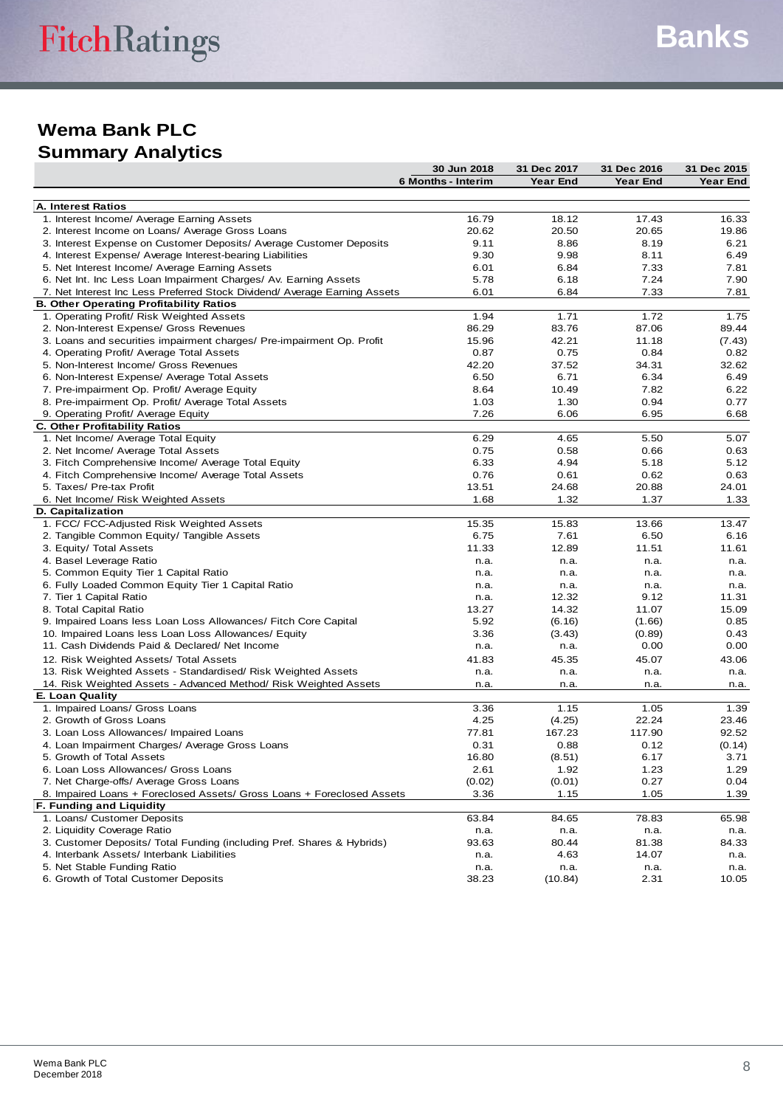# **Summary Analytics**

|                                                                           | 30 Jun 2018        | 31 Dec 2017     | 31 Dec 2016 | 31 Dec 2015 |
|---------------------------------------------------------------------------|--------------------|-----------------|-------------|-------------|
|                                                                           | 6 Months - Interim | <b>Year End</b> | Year End    | Year End    |
|                                                                           |                    |                 |             |             |
| A. Interest Ratios                                                        |                    |                 |             |             |
| 1. Interest Income/ Average Earning Assets                                | 16.79              | 18.12           | 17.43       | 16.33       |
| 2. Interest Income on Loans/ Average Gross Loans                          | 20.62              | 20.50           | 20.65       | 19.86       |
| 3. Interest Expense on Customer Deposits/ Average Customer Deposits       | 9.11               | 8.86            | 8.19        | 6.21        |
| 4. Interest Expense/ Average Interest-bearing Liabilities                 | 9.30               | 9.98            | 8.11        | 6.49        |
| 5. Net Interest Income/ Average Earning Assets                            | 6.01               | 6.84            | 7.33        | 7.81        |
| 6. Net Int. Inc Less Loan Impairment Charges/ Av. Earning Assets          | 5.78               | 6.18            | 7.24        | 7.90        |
| 7. Net Interest Inc Less Preferred Stock Dividend/ Average Earning Assets | 6.01               | 6.84            | 7.33        | 7.81        |
| <b>B. Other Operating Profitability Ratios</b>                            |                    |                 |             |             |
| 1. Operating Profit/ Risk Weighted Assets                                 | 1.94               | 1.71            | 1.72        | 1.75        |
| 2. Non-Interest Expense/ Gross Revenues                                   | 86.29              | 83.76           | 87.06       | 89.44       |
| 3. Loans and securities impairment charges/ Pre-impairment Op. Profit     | 15.96              | 42.21           | 11.18       | (7.43)      |
| 4. Operating Profit/ Average Total Assets                                 | 0.87               | 0.75            | 0.84        | 0.82        |
| 5. Non-Interest Income/ Gross Revenues                                    | 42.20              | 37.52           | 34.31       | 32.62       |
| 6. Non-Interest Expense/ Average Total Assets                             | 6.50               | 6.71            | 6.34        | 6.49        |
| 7. Pre-impairment Op. Profit/ Average Equity                              | 8.64               | 10.49           | 7.82        | 6.22        |
| 8. Pre-impairment Op. Profit/ Average Total Assets                        | 1.03               | 1.30            | 0.94        | 0.77        |
| 9. Operating Profit/ Average Equity                                       | 7.26               | 6.06            | 6.95        | 6.68        |
| <b>C. Other Profitability Ratios</b>                                      |                    |                 |             |             |
| 1. Net Income/ Average Total Equity                                       | 6.29               | 4.65            | 5.50        | 5.07        |
| 2. Net Income/ Average Total Assets                                       | 0.75               | 0.58            | 0.66        | 0.63        |
| 3. Fitch Comprehensive Income/ Average Total Equity                       | 6.33               | 4.94            | 5.18        | 5.12        |
| 4. Fitch Comprehensive Income/ Average Total Assets                       | 0.76               | 0.61            | 0.62        | 0.63        |
| 5. Taxes/ Pre-tax Profit                                                  | 13.51              | 24.68           | 20.88       | 24.01       |
| 6. Net Income/ Risk Weighted Assets                                       | 1.68               | 1.32            | 1.37        | 1.33        |
| D. Capitalization                                                         |                    |                 |             |             |
| 1. FCC/ FCC-Adjusted Risk Weighted Assets                                 | 15.35              | 15.83           | 13.66       | 13.47       |
| 2. Tangible Common Equity/ Tangible Assets                                | 6.75               | 7.61            | 6.50        | 6.16        |
| 3. Equity/ Total Assets                                                   | 11.33              | 12.89           | 11.51       | 11.61       |
| 4. Basel Leverage Ratio                                                   | n.a.               | n.a.            | n.a.        | n.a.        |
| 5. Common Equity Tier 1 Capital Ratio                                     | n.a.               | n.a.            | n.a.        | n.a.        |
| 6. Fully Loaded Common Equity Tier 1 Capital Ratio                        | n.a.               | n.a.            | n.a.        | n.a.        |
| 7. Tier 1 Capital Ratio                                                   | n.a.               | 12.32           | 9.12        | 11.31       |
| 8. Total Capital Ratio                                                    | 13.27              | 14.32           | 11.07       | 15.09       |
| 9. Impaired Loans less Loan Loss Allowances/ Fitch Core Capital           | 5.92               | (6.16)          | (1.66)      | 0.85        |
| 10. Impaired Loans less Loan Loss Allowances/ Equity                      | 3.36               | (3.43)          | (0.89)      | 0.43        |
| 11. Cash Dividends Paid & Declared/ Net Income                            | n.a.               | n.a.            | 0.00        | 0.00        |
| 12. Risk Weighted Assets/ Total Assets                                    | 41.83              | 45.35           | 45.07       | 43.06       |
| 13. Risk Weighted Assets - Standardised/ Risk Weighted Assets             | n.a.               | n.a.            | n.a.        | n.a.        |
| 14. Risk Weighted Assets - Advanced Method/ Risk Weighted Assets          | n.a.               | n.a.            | n.a.        | n.a.        |
| E. Loan Quality                                                           |                    |                 |             |             |
| 1. Impaired Loans/ Gross Loans                                            | 3.36               | 1.15            | 1.05        | 1.39        |
| 2. Growth of Gross Loans                                                  | 4.25               | (4.25)          | 22.24       | 23.46       |
| 3. Loan Loss Allowances/ Impaired Loans                                   | 77.81              | 167.23          | 117.90      | 92.52       |
| 4. Loan Impairment Charges/ Average Gross Loans                           | 0.31               | 0.88            | 0.12        | (0.14)      |
| 5. Growth of Total Assets                                                 | 16.80              | (8.51)          | 6.17        | 3.71        |
| 6. Loan Loss Allowances/ Gross Loans                                      | 2.61               | 1.92            | 1.23        | 1.29        |
| 7. Net Charge-offs/ Average Gross Loans                                   | (0.02)             | (0.01)          | 0.27        | 0.04        |
| 8. Impaired Loans + Foreclosed Assets/ Gross Loans + Foreclosed Assets    | 3.36               | 1.15            | 1.05        | 1.39        |
| F. Funding and Liquidity                                                  |                    |                 |             |             |
| 1. Loans/ Customer Deposits                                               | 63.84              | 84.65           | 78.83       | 65.98       |
| 2. Liquidity Coverage Ratio                                               | n.a.               | n.a.            | n.a.        | n.a.        |
| 3. Customer Deposits/ Total Funding (including Pref. Shares & Hybrids)    | 93.63              | 80.44           | 81.38       | 84.33       |
| 4. Interbank Assets/ Interbank Liabilities                                | n.a.               | 4.63            | 14.07       | n.a.        |
| 5. Net Stable Funding Ratio                                               | n.a.               | n.a.            | n.a.        | n.a.        |
| 6. Growth of Total Customer Deposits                                      | 38.23              | (10.84)         | 2.31        | 10.05       |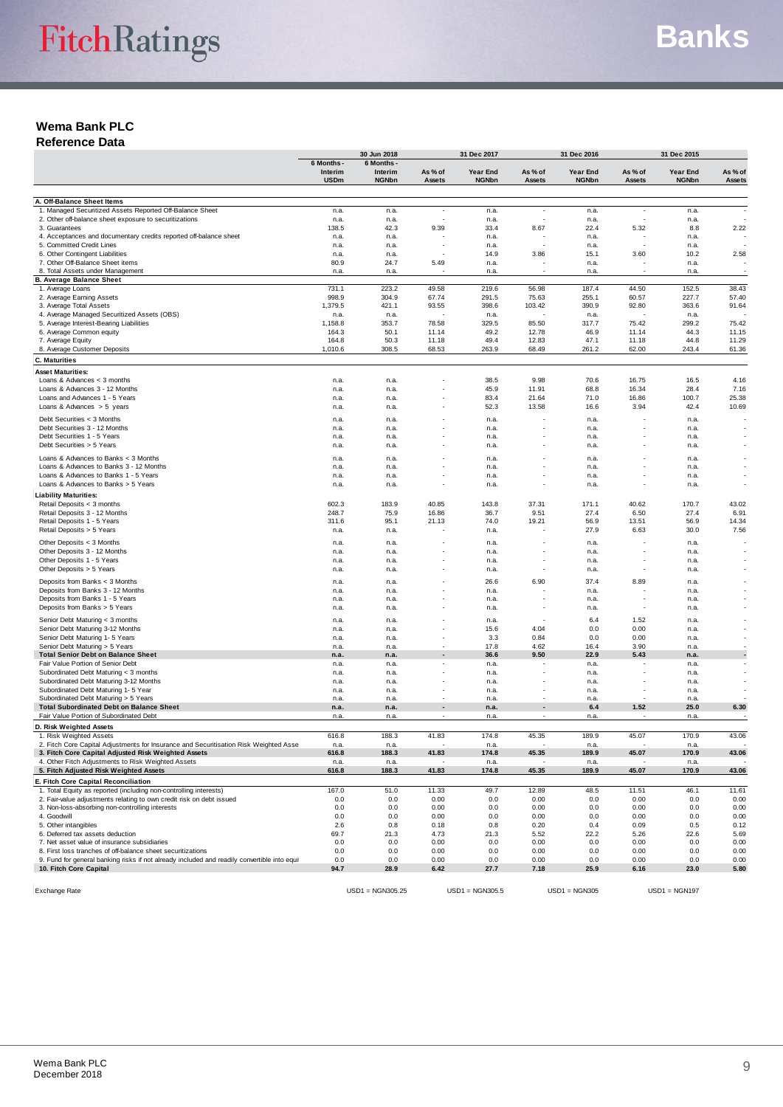#### **Reference Data**

|                                                                                              |                       | 30 Jun 2018           |                          | 31 Dec 2017       |               |                 | 31 Dec 2016<br>31 Dec 2015 |                 |              |
|----------------------------------------------------------------------------------------------|-----------------------|-----------------------|--------------------------|-------------------|---------------|-----------------|----------------------------|-----------------|--------------|
|                                                                                              | 6 Months -<br>Interim | 6 Months -<br>Interim | As % of                  | <b>Year End</b>   | As % of       | Year End        | As % of                    | Year End        | As % of      |
|                                                                                              | <b>USDm</b>           | <b>NGNbn</b>          | Assets                   | <b>NGNbn</b>      | Assets        | <b>NGNbn</b>    | Assets                     | <b>NGNbn</b>    | Assets       |
| A. Off-Balance Sheet Items                                                                   |                       |                       |                          |                   |               |                 |                            |                 |              |
| 1. Managed Securitized Assets Reported Off-Balance Sheet                                     | n.a.                  | n.a.                  | $\overline{\phantom{a}}$ | n.a.              |               | n.a.            |                            | n.a.            |              |
| 2. Other off-balance sheet exposure to securitizations<br>3. Guarantees                      | n.a.<br>138.5         | n.a.<br>42.3          | 9.39                     | n.a.<br>33.4      | 8.67          | n.a.<br>22.4    | 5.32                       | n.a.<br>8.8     | 2.22         |
| 4. Acceptances and documentary credits reported off-balance sheet                            | n.a.                  | n.a.                  |                          | n.a.              |               | n.a.            |                            | n.a.            |              |
| 5. Committed Credit Lines                                                                    | n.a.                  | n.a.                  |                          | n.a.              |               | n.a.            |                            | n.a.            |              |
| 6. Other Contingent Liabilities                                                              | n.a.                  | n.a.                  |                          | 14.9              | 3.86          | 15.1            | 3.60                       | 10.2            | 2.58         |
| 7. Other Off-Balance Sheet items<br>8. Total Assets under Management                         | 80.9<br>n.a.          | 24.7<br>n.a.          | 5.49                     | n.a.<br>n.a.      |               | n.a.<br>n.a.    |                            | n.a.<br>n.a.    |              |
| <b>B. Average Balance Sheet</b>                                                              |                       |                       |                          |                   |               |                 |                            |                 |              |
| 1. Average Loans                                                                             | 731.1                 | 223.2                 | 49.58                    | 219.6             | 56.98         | 187.4           | 44.50                      | 152.5           | 38.43        |
| 2. Average Earning Assets                                                                    | 998.9                 | 304.9                 | 67.74                    | 291.5             | 75.63         | 255.1           | 60.57                      | 227.7           | 57.40        |
| 3. Average Total Assets<br>4. Average Managed Securitized Assets (OBS)                       | 1,379.5<br>n.a.       | 421.1<br>n.a.         | 93.55                    | 398.6<br>n.a.     | 103.42        | 390.9<br>n.a.   | 92.80                      | 363.6<br>n.a.   | 91.64        |
| 5. Average Interest-Bearing Liabilities                                                      | 1,158.8               | 353.7                 | 78.58                    | 329.5             | 85.50         | 317.7           | 75.42                      | 299.2           | 75.42        |
| 6. Average Common equity                                                                     | 164.3                 | 50.1                  | 11.14                    | 49.2              | 12.78         | 46.9            | 11.14                      | 44.3            | 11.15        |
| 7. Average Equity                                                                            | 164.8                 | 50.3                  | 11.18                    | 49.4              | 12.83         | 47.1            | 11.18                      | 44.8            | 11.29        |
| 8. Average Customer Deposits                                                                 | 1,010.6               | 308.5                 | 68.53                    | 263.9             | 68.49         | 261.2           | 62.00                      | 243.4           | 61.36        |
| <b>C. Maturities</b>                                                                         |                       |                       |                          |                   |               |                 |                            |                 |              |
| <b>Asset Maturities:</b>                                                                     |                       |                       |                          |                   |               |                 |                            |                 |              |
| Loans & Advances < 3 months<br>Loans & Advances 3 - 12 Months                                | n.a.<br>n.a.          | n.a.<br>n.a.          |                          | 38.5<br>45.9      | 9.98<br>11.91 | 70.6<br>68.8    | 16.75<br>16.34             | 16.5<br>28.4    | 4.16<br>7.16 |
| Loans and Advances 1 - 5 Years                                                               | n.a.                  | n.a.                  |                          | 83.4              | 21.64         | 71.0            | 16.86                      | 100.7           | 25.38        |
| Loans & Advances $> 5$ years                                                                 | n.a.                  | n.a.                  |                          | 52.3              | 13.58         | 16.6            | 3.94                       | 42.4            | 10.69        |
| Debt Securities < 3 Months                                                                   | n.a.                  | n.a.                  |                          | n.a.              |               | n.a.            |                            | n.a.            |              |
| Debt Securities 3 - 12 Months                                                                | n.a.                  | n.a.                  |                          | n.a.              |               | n.a.            |                            | n.a.            |              |
| Debt Securities 1 - 5 Years                                                                  | n.a.                  | n.a.                  |                          | n.a.              |               | n.a.            |                            | n.a.            |              |
| Debt Securities > 5 Years                                                                    | n.a.                  | n.a.                  |                          | n.a.              |               | n.a.            |                            | n.a.            |              |
| Loans & Advances to Banks < 3 Months                                                         | n.a.                  | n.a.                  |                          | n.a.              |               | n.a.            |                            | n.a.            |              |
| Loans & Advances to Banks 3 - 12 Months                                                      | n.a.                  | n.a.                  |                          | n.a.              |               | n.a.            |                            | n.a.            |              |
| Loans & Advances to Banks 1 - 5 Years<br>Loans & Advances to Banks > 5 Years                 | n.a.<br>n.a.          | n.a.                  |                          | n.a.              |               | n.a.            |                            | n.a.            |              |
| <b>Liability Maturities:</b>                                                                 |                       | n.a.                  |                          | n.a.              |               | n.a.            |                            | n.a.            |              |
| Retail Deposits < 3 months                                                                   | 602.3                 | 183.9                 | 40.85                    | 143.8             | 37.31         | 171.1           | 40.62                      | 170.7           | 43.02        |
| Retail Deposits 3 - 12 Months                                                                | 248.7                 | 75.9                  | 16.86                    | 36.7              | 9.51          | 27.4            | 6.50                       | 27.4            | 6.91         |
| Retail Deposits 1 - 5 Years                                                                  | 311.6                 | 95.1                  | 21.13                    | 74.0              | 19.21         | 56.9            | 13.51                      | 56.9            | 14.34        |
| Retail Deposits > 5 Years                                                                    | n.a.                  | n.a.                  |                          | n.a.              |               | 27.9            | 6.63                       | 30.0            | 7.56         |
| Other Deposits < 3 Months                                                                    | n.a.                  | n.a.                  |                          | n.a.              |               | n.a.            |                            | n.a.            |              |
| Other Deposits 3 - 12 Months                                                                 | n.a.                  | n.a.                  |                          | n.a.              |               | n.a.            |                            | n.a.            |              |
| Other Deposits 1 - 5 Years<br>Other Deposits > 5 Years                                       | n.a.                  | n.a.                  |                          | n.a.              |               | n.a.            |                            | n.a.            |              |
|                                                                                              | n.a.                  | n.a.                  |                          | n.a.              |               | n.a.            |                            | n.a.            |              |
| Deposits from Banks < 3 Months<br>Deposits from Banks 3 - 12 Months                          | n.a.<br>n.a.          | n.a.<br>n.a.          |                          | 26.6<br>n.a.      | 6.90          | 37.4<br>n.a.    | 8.89                       | n.a.<br>n.a.    |              |
| Deposits from Banks 1 - 5 Years                                                              | n.a.                  | n.a.                  |                          | n.a.              |               | n.a.            |                            | n.a.            |              |
| Deposits from Banks > 5 Years                                                                | n.a.                  | n.a.                  |                          | n.a.              |               | n.a.            |                            | n.a.            |              |
| Senior Debt Maturing < 3 months                                                              | n.a.                  | n.a.                  |                          | n.a.              |               | 6.4             | 1.52                       | n.a.            |              |
| Senior Debt Maturing 3-12 Months                                                             | n.a.                  | n.a.                  |                          | 15.6              | 4.04          | 0.0             | 0.00                       | n.a.            |              |
| Senior Debt Maturing 1- 5 Years                                                              | n.a.                  | n.a.                  |                          | 3.3               | 0.84          | 0.0             | 0.00                       | n.a.            |              |
| Senior Debt Maturing > 5 Years                                                               | n.a.                  | n.a.                  |                          | 17.8              | 4.62          | 16.4            | 3.90                       | n.a.            |              |
| <b>Total Senior Debt on Balance Sheet</b><br>Fair Value Portion of Senior Debt               | n.a.<br>n.a.          | n.a.<br>n.a.          |                          | 36.6<br>n.a.      | 9.50          | 22.9<br>n.a.    | 5.43                       | n.a.            |              |
| Subordinated Debt Maturing < 3 months                                                        | n.a.                  | n.a.                  |                          | n.a.              |               | n.a.            |                            | n.a.<br>n.a.    |              |
| Subordinated Debt Maturing 3-12 Months                                                       | n.a.                  | n.a.                  |                          | n.a.              |               | n.a.            |                            | n.a.            |              |
| Subordinated Debt Maturing 1- 5 Year                                                         | n.a.                  | n.a.                  |                          | n.a.              |               | n.a.            |                            | n.a.            |              |
| Subordinated Debt Maturing > 5 Years                                                         | n.a.                  | n.a.                  |                          | n.a.              |               | n.a.            |                            | n.a.            |              |
| <b>Total Subordinated Debt on Balance Sheet</b><br>Fair Value Portion of Subordinated Debt   | n.a.<br>n.a           | n.a.<br>n.a.          |                          | n.a.<br>n.a       |               | 6.4<br>n.a.     | 1.52                       | 25.0<br>n.a.    | 6.30         |
| D. Risk Weighted Assets                                                                      |                       |                       |                          |                   |               |                 |                            |                 |              |
| 1. Risk Weighted Assets                                                                      | 616.8                 | 188.3                 | 41.83                    | 174.8             | 45.35         | 189.9           | 45.07                      | 170.9           | 43.06        |
| 2. Fitch Core Capital Adjustments for Insurance and Securitisation Risk Weighted Asse        | n.a.                  | n.a.                  |                          | n.a.              |               | n.a.            |                            | n.a.            |              |
| 3. Fitch Core Capital Adjusted Risk Weighted Assets                                          | 616.8                 | 188.3                 | 41.83                    | 174.8             | 45.35         | 189.9           | 45.07                      | 170.9           | 43.06        |
| 4. Other Fitch Adjustments to Risk Weighted Assets<br>5. Fitch Adjusted Risk Weighted Assets | n.a.<br>616.8         | n.a.<br>188.3         | 41.83                    | n.a.<br>174.8     | 45.35         | n.a.<br>189.9   | 45.07                      | n.a.<br>170.9   | 43.06        |
| E. Fitch Core Capital Reconciliation                                                         |                       |                       |                          |                   |               |                 |                            |                 |              |
| 1. Total Equity as reported (including non-controlling interests)                            | 167.0                 | 51.0                  | 11.33                    | 49.7              | 12.89         | 48.5            | 11.51                      | 46.1            | 11.61        |
| 2. Fair-value adjustments relating to own credit risk on debt issued                         | 0.0                   | 0.0                   | 0.00                     | 0.0               | 0.00          | 0.0             | 0.00                       | 0.0             | 0.00         |
| 3. Non-loss-absorbing non-controlling interests                                              | 0.0                   | 0.0                   | 0.00                     | 0.0               | 0.00          | 0.0             | 0.00                       | 0.0             | 0.00         |
| 4. Goodwill<br>5. Other intangibles                                                          | 0.0<br>2.6            | 0.0<br>0.8            | 0.00<br>0.18             | 0.0<br>0.8        | 0.00<br>0.20  | 0.0<br>0.4      | 0.00<br>0.09               | 0.0<br>0.5      | 0.00<br>0.12 |
| 6. Deferred tax assets deduction                                                             | 69.7                  | 21.3                  | 4.73                     | 21.3              | 5.52          | 22.2            | 5.26                       | 22.6            | 5.69         |
| 7. Net asset value of insurance subsidiaries                                                 | 0.0                   | 0.0                   | 0.00                     | 0.0               | 0.00          | 0.0             | 0.00                       | 0.0             | 0.00         |
| 8. First loss tranches of off-balance sheet securitizations                                  | 0.0                   | 0.0                   | 0.00                     | 0.0               | 0.00          | 0.0             | 0.00                       | 0.0             | 0.00         |
| 9. Fund for general banking risks if not already included and readily convertible into equit | 0.0                   | 0.0                   | 0.00                     | 0.0               | 0.00          | 0.0             | 0.00                       | 0.0             | 0.00         |
| 10. Fitch Core Capital                                                                       | 94.7                  | 28.9                  | 6.42                     | 27.7              | 7.18          | 25.9            | 6.16                       | 23.0            | 5.80         |
|                                                                                              |                       |                       |                          |                   |               |                 |                            |                 |              |
| <b>Exchange Rate</b>                                                                         |                       | $USD1 = NGN305.25$    |                          | $USD1 = NGN305.5$ |               | $USD1 = NGN305$ |                            | $USD1 = NGN197$ |              |